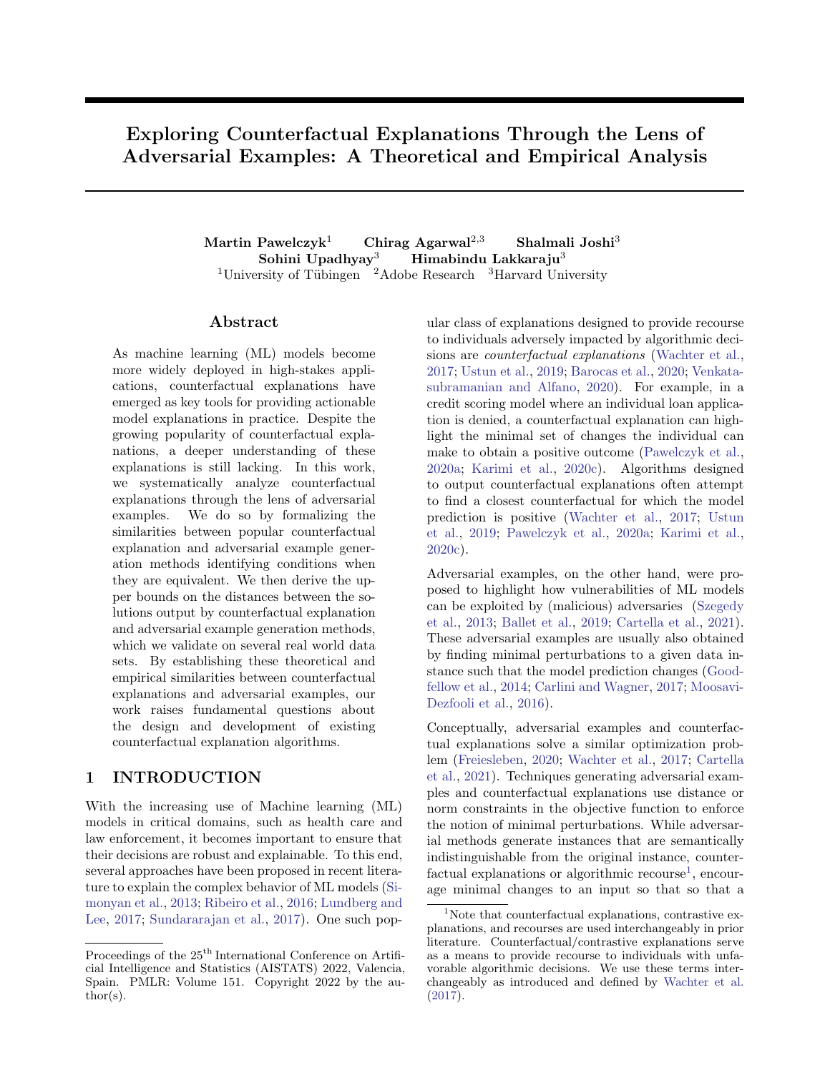# Exploring Counterfactual Explanations Through the Lens of Adversarial Examples: A Theoretical and Empirical Analysis

Martin Pawelczyk<sup>1</sup> Chirag Agarwal<sup>2,3</sup> Shalmali Joshi<sup>3</sup> Sohini Upadhyay<sup>3</sup> Himabindu Lakkaraju<sup>3</sup> <sup>1</sup>University of Tübingen  $^2$ Adobe Research  $^3$ Harvard University

### ${\rm Abstract}$

As machine learning (ML) models become more widely deployed in high-stakes applications, counterfactual explanations have emerged as key tools for providing actionable model explanations in practice. Despite the growing popularity of counterfactual explanations, a deeper understanding of these explanations is still lacking. In this work, we systematically analyze counterfactual explanations through the lens of adversarial examples. We do so by formalizing the similarities between popular counterfactual explanation and adversarial example generation methods identifying conditions when they are equivalent. We then derive the upper bounds on the distances between the solutions output by counterfactual explanation and adversarial example generation methods, which we validate on several real world data sets. By establishing these theoretical and empirical similarities between counterfactual explanations and adversarial examples, our work raises fundamental questions about the design and development of existing counterfactual explanation algorithms.

# 1 INTRODUCTION

With the increasing use of Machine learning (ML) models in critical domains, such as health care and law enforcement, it becomes important to ensure that their decisions are robust and explainable. To this end, several approaches have been proposed in recent literature to explain the complex behavior of ML models [\(Si](#page-9-0)[monyan et al.,](#page-9-0) [2013;](#page-9-0) [Ribeiro et al.,](#page-9-1) [2016;](#page-9-1) [Lundberg and](#page-9-2) [Lee,](#page-9-2) [2017;](#page-9-2) [Sundararajan et al.,](#page-9-3) [2017\)](#page-9-3). One such popular class of explanations designed to provide recourse to individuals adversely impacted by algorithmic decisions are counterfactual explanations [\(Wachter et al.,](#page-9-4) [2017;](#page-9-4) [Ustun et al.,](#page-9-5) [2019;](#page-9-5) [Barocas et al.,](#page-8-0) [2020;](#page-8-0) [Venkata](#page-9-6)[subramanian and Alfano,](#page-9-6) [2020\)](#page-9-6). For example, in a credit scoring model where an individual loan application is denied, a counterfactual explanation can highlight the minimal set of changes the individual can make to obtain a positive outcome [\(Pawelczyk et al.,](#page-9-7) [2020a;](#page-9-7) [Karimi et al.,](#page-9-8) [2020c\)](#page-9-8). Algorithms designed to output counterfactual explanations often attempt to find a closest counterfactual for which the model prediction is positive [\(Wachter et al.,](#page-9-4) [2017;](#page-9-4) [Ustun](#page-9-5) [et al.,](#page-9-5) [2019;](#page-9-5) [Pawelczyk et al.,](#page-9-7) [2020a;](#page-9-7) [Karimi et al.,](#page-9-8) [2020c\)](#page-9-8).

Adversarial examples, on the other hand, were proposed to highlight how vulnerabilities of ML models can be exploited by (malicious) adversaries [\(Szegedy](#page-9-9) [et al.,](#page-9-9) [2013;](#page-9-9) [Ballet et al.,](#page-8-1) [2019;](#page-8-1) [Cartella et al.,](#page-8-2) [2021\)](#page-8-2). These adversarial examples are usually also obtained by finding minimal perturbations to a given data instance such that the model prediction changes [\(Good](#page-8-3)[fellow et al.,](#page-8-3) [2014;](#page-8-3) [Carlini and Wagner,](#page-8-4) [2017;](#page-8-4) [Moosavi-](#page-9-10)[Dezfooli et al.,](#page-9-10) [2016\)](#page-9-10).

Conceptually, adversarial examples and counterfactual explanations solve a similar optimization problem [\(Freiesleben,](#page-8-5) [2020;](#page-8-5) [Wachter et al.,](#page-9-4) [2017;](#page-9-4) [Cartella](#page-8-2) [et al.,](#page-8-2) [2021\)](#page-8-2). Techniques generating adversarial examples and counterfactual explanations use distance or norm constraints in the objective function to enforce the notion of minimal perturbations. While adversarial methods generate instances that are semantically indistinguishable from the original instance, counter- $\text{factoral explanations or algorithmic recourse}^1, \text{encour-}$  $\text{factoral explanations or algorithmic recourse}^1, \text{encour-}$  $\text{factoral explanations or algorithmic recourse}^1, \text{encour-}$ age minimal changes to an input so that so that a

Proceedings of the  $25<sup>th</sup>$  International Conference on Artificial Intelligence and Statistics (AISTATS) 2022, Valencia, Spain. PMLR: Volume 151. Copyright 2022 by the au- $\text{thor}(s)$ .

<span id="page-0-0"></span><sup>&</sup>lt;sup>1</sup>Note that counterfactual explanations, contrastive explanations, and recourses are used interchangeably in prior literature. Counterfactual/contrastive explanations serve as a means to provide recourse to individuals with unfavorable algorithmic decisions. We use these terms interchangeably as introduced and defined by [Wachter et al.](#page-9-4) [\(2017\)](#page-9-4).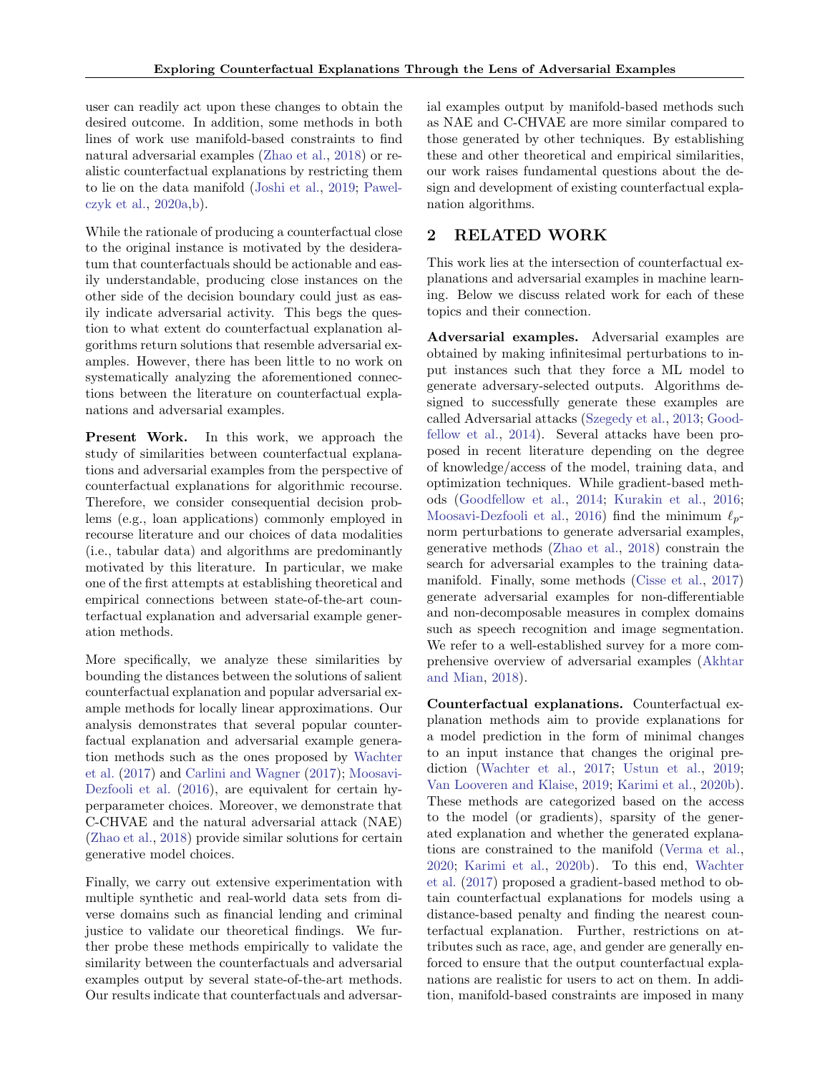user can readily act upon these changes to obtain the desired outcome. In addition, some methods in both lines of work use manifold-based constraints to find natural adversarial examples [\(Zhao et al.,](#page-9-11) [2018\)](#page-9-11) or realistic counterfactual explanations by restricting them to lie on the data manifold [\(Joshi et al.,](#page-8-6) [2019;](#page-8-6) [Pawel](#page-9-7)[czyk et al.,](#page-9-7) [2020a,](#page-9-7)[b\)](#page-9-12).

While the rationale of producing a counterfactual close to the original instance is motivated by the desideratum that counterfactuals should be actionable and easily understandable, producing close instances on the other side of the decision boundary could just as easily indicate adversarial activity. This begs the question to what extent do counterfactual explanation algorithms return solutions that resemble adversarial examples. However, there has been little to no work on systematically analyzing the aforementioned connections between the literature on counterfactual explanations and adversarial examples.

Present Work. In this work, we approach the study of similarities between counterfactual explanations and adversarial examples from the perspective of counterfactual explanations for algorithmic recourse. Therefore, we consider consequential decision problems (e.g., loan applications) commonly employed in recourse literature and our choices of data modalities (i.e., tabular data) and algorithms are predominantly motivated by this literature. In particular, we make one of the first attempts at establishing theoretical and empirical connections between state-of-the-art counterfactual explanation and adversarial example generation methods.

More specifically, we analyze these similarities by bounding the distances between the solutions of salient counterfactual explanation and popular adversarial example methods for locally linear approximations. Our analysis demonstrates that several popular counterfactual explanation and adversarial example generation methods such as the ones proposed by [Wachter](#page-9-4) [et al.](#page-9-4) [\(2017\)](#page-9-4) and [Carlini and Wagner](#page-8-4) [\(2017\)](#page-8-4); [Moosavi-](#page-9-10)[Dezfooli et al.](#page-9-10) [\(2016\)](#page-9-10), are equivalent for certain hyperparameter choices. Moreover, we demonstrate that C-CHVAE and the natural adversarial attack (NAE) [\(Zhao et al.,](#page-9-11) [2018\)](#page-9-11) provide similar solutions for certain generative model choices.

Finally, we carry out extensive experimentation with multiple synthetic and real-world data sets from diverse domains such as financial lending and criminal justice to validate our theoretical findings. We further probe these methods empirically to validate the similarity between the counterfactuals and adversarial examples output by several state-of-the-art methods. Our results indicate that counterfactuals and adversarial examples output by manifold-based methods such as NAE and C-CHVAE are more similar compared to those generated by other techniques. By establishing these and other theoretical and empirical similarities, our work raises fundamental questions about the design and development of existing counterfactual explanation algorithms.

# 2 RELATED WORK

This work lies at the intersection of counterfactual explanations and adversarial examples in machine learning. Below we discuss related work for each of these topics and their connection.

Adversarial examples. Adversarial examples are obtained by making infinitesimal perturbations to input instances such that they force a ML model to generate adversary-selected outputs. Algorithms designed to successfully generate these examples are called Adversarial attacks [\(Szegedy et al.,](#page-9-9) [2013;](#page-9-9) [Good](#page-8-3)[fellow et al.,](#page-8-3) [2014\)](#page-8-3). Several attacks have been proposed in recent literature depending on the degree of knowledge/access of the model, training data, and optimization techniques. While gradient-based methods [\(Goodfellow et al.,](#page-8-3) [2014;](#page-8-3) [Kurakin et al.,](#page-9-13) [2016;](#page-9-13) [Moosavi-Dezfooli et al.,](#page-9-10) [2016\)](#page-9-10) find the minimum  $\ell_p$ norm perturbations to generate adversarial examples, generative methods [\(Zhao et al.,](#page-9-11) [2018\)](#page-9-11) constrain the search for adversarial examples to the training datamanifold. Finally, some methods [\(Cisse et al.,](#page-8-7) [2017\)](#page-8-7) generate adversarial examples for non-differentiable and non-decomposable measures in complex domains such as speech recognition and image segmentation. We refer to a well-established survey for a more comprehensive overview of adversarial examples [\(Akhtar](#page-8-8) [and Mian,](#page-8-8) [2018\)](#page-8-8).

Counterfactual explanations. Counterfactual explanation methods aim to provide explanations for a model prediction in the form of minimal changes to an input instance that changes the original prediction [\(Wachter et al.,](#page-9-4) [2017;](#page-9-4) [Ustun et al.,](#page-9-5) [2019;](#page-9-5) [Van Looveren and Klaise,](#page-9-14) [2019;](#page-9-14) [Karimi et al.,](#page-9-15) [2020b\)](#page-9-15). These methods are categorized based on the access to the model (or gradients), sparsity of the generated explanation and whether the generated explanations are constrained to the manifold [\(Verma et al.,](#page-9-16) [2020;](#page-9-16) [Karimi et al.,](#page-9-15) [2020b\)](#page-9-15). To this end, [Wachter](#page-9-4) [et al.](#page-9-4) [\(2017\)](#page-9-4) proposed a gradient-based method to obtain counterfactual explanations for models using a distance-based penalty and finding the nearest counterfactual explanation. Further, restrictions on attributes such as race, age, and gender are generally enforced to ensure that the output counterfactual explanations are realistic for users to act on them. In addition, manifold-based constraints are imposed in many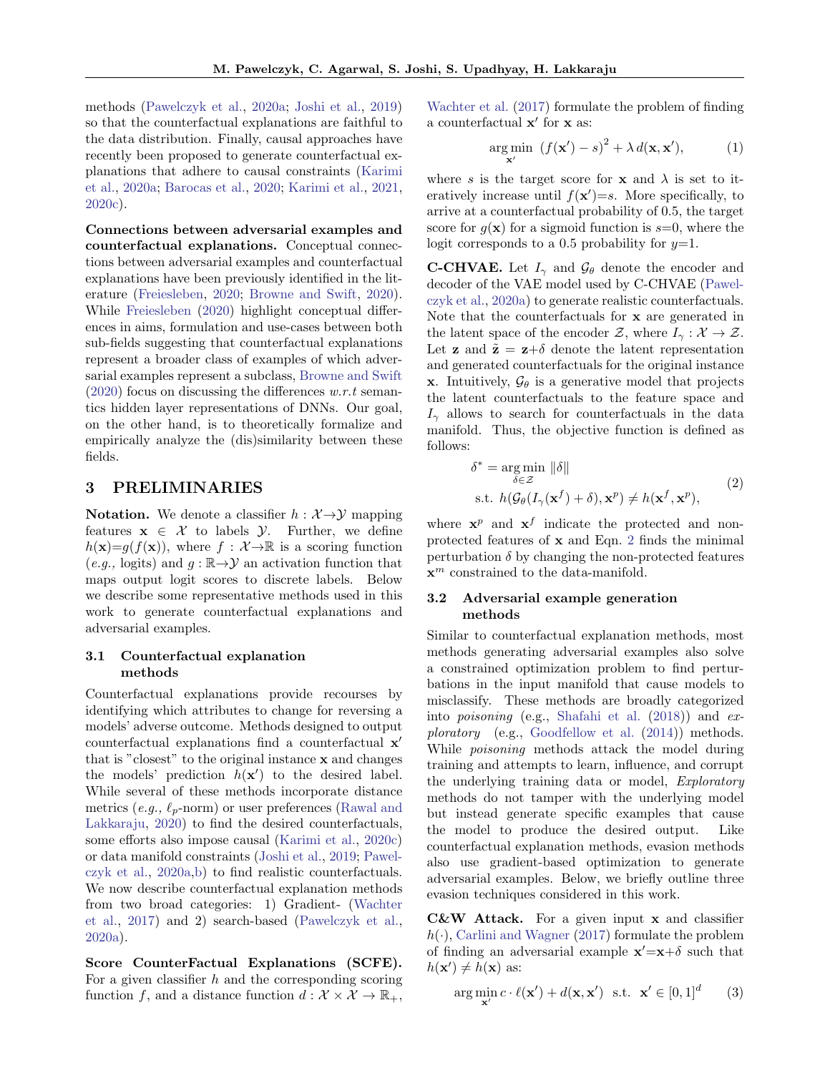methods [\(Pawelczyk et al.,](#page-9-7) [2020a;](#page-9-7) [Joshi et al.,](#page-8-6) [2019\)](#page-8-6) so that the counterfactual explanations are faithful to the data distribution. Finally, causal approaches have recently been proposed to generate counterfactual explanations that adhere to causal constraints [\(Karimi](#page-8-9) [et al.,](#page-8-9) [2020a;](#page-8-9) [Barocas et al.,](#page-8-0) [2020;](#page-8-0) [Karimi et al.,](#page-9-17) [2021,](#page-9-17) [2020c\)](#page-9-8).

Connections between adversarial examples and counterfactual explanations. Conceptual connections between adversarial examples and counterfactual explanations have been previously identified in the literature [\(Freiesleben,](#page-8-5) [2020;](#page-8-5) [Browne and Swift,](#page-8-10) [2020\)](#page-8-10). While [Freiesleben](#page-8-5) [\(2020\)](#page-8-5) highlight conceptual differences in aims, formulation and use-cases between both sub-fields suggesting that counterfactual explanations represent a broader class of examples of which adversarial examples represent a subclass, [Browne and Swift](#page-8-10)  $(2020)$  focus on discussing the differences w.r.t semantics hidden layer representations of DNNs. Our goal, on the other hand, is to theoretically formalize and empirically analyze the (dis)similarity between these fields.

### <span id="page-2-1"></span>3 PRELIMINARIES

**Notation.** We denote a classifier  $h : \mathcal{X} \rightarrow \mathcal{Y}$  mapping features  $x \in \mathcal{X}$  to labels  $\mathcal{Y}$ . Further, we define  $h(\mathbf{x})=g(f(\mathbf{x}))$ , where  $f: \mathcal{X} \rightarrow \mathbb{R}$  is a scoring function  $(e.g., \text{logits})$  and  $g : \mathbb{R} \to \mathcal{Y}$  an activation function that maps output logit scores to discrete labels. Below we describe some representative methods used in this work to generate counterfactual explanations and adversarial examples.

### 3.1 Counterfactual explanation methods

Counterfactual explanations provide recourses by identifying which attributes to change for reversing a models' adverse outcome. Methods designed to output counterfactual explanations find a counterfactual x ′ that is "closest" to the original instance x and changes the models' prediction  $h(\mathbf{x}')$  to the desired label. While several of these methods incorporate distance metrics (e.g.,  $\ell_p$ -norm) or user preferences [\(Rawal and](#page-9-18) [Lakkaraju,](#page-9-18) [2020\)](#page-9-18) to find the desired counterfactuals, some efforts also impose causal [\(Karimi et al.,](#page-9-8) [2020c\)](#page-9-8) or data manifold constraints [\(Joshi et al.,](#page-8-6) [2019;](#page-8-6) [Pawel](#page-9-7)[czyk et al.,](#page-9-7) [2020a,](#page-9-7)[b\)](#page-9-12) to find realistic counterfactuals. We now describe counterfactual explanation methods from two broad categories: 1) Gradient- [\(Wachter](#page-9-4) [et al.,](#page-9-4) [2017\)](#page-9-4) and 2) search-based [\(Pawelczyk et al.,](#page-9-7) [2020a\)](#page-9-7).

Score CounterFactual Explanations (SCFE). For a given classifier  $h$  and the corresponding scoring function f, and a distance function  $d : \mathcal{X} \times \mathcal{X} \to \mathbb{R}_+,$  [Wachter et al.](#page-9-4) [\(2017\)](#page-9-4) formulate the problem of finding a counterfactual  $\mathbf{x}'$  for  $\mathbf{x}$  as:

<span id="page-2-2"></span>
$$
\underset{\mathbf{x}'}{\arg\min} \ \left(f(\mathbf{x}') - s\right)^2 + \lambda \, d(\mathbf{x}, \mathbf{x}'),\tag{1}
$$

where s is the target score for **x** and  $\lambda$  is set to iteratively increase until  $f(\mathbf{x}')=s$ . More specifically, to arrive at a counterfactual probability of 0.5, the target score for  $q(\mathbf{x})$  for a sigmoid function is  $s=0$ , where the logit corresponds to a 0.5 probability for  $y=1$ .

**C-CHVAE.** Let  $I_{\gamma}$  and  $\mathcal{G}_{\theta}$  denote the encoder and decoder of the VAE model used by C-CHVAE [\(Pawel](#page-9-7)[czyk et al.,](#page-9-7) [2020a\)](#page-9-7) to generate realistic counterfactuals. Note that the counterfactuals for x are generated in the latent space of the encoder Z, where  $I_{\gamma}: \mathcal{X} \to \mathcal{Z}$ . Let **z** and  $\tilde{\mathbf{z}} = \mathbf{z} + \delta$  denote the latent representation and generated counterfactuals for the original instance **x**. Intuitively,  $\mathcal{G}_{\theta}$  is a generative model that projects the latent counterfactuals to the feature space and  $I_{\gamma}$  allows to search for counterfactuals in the data manifold. Thus, the objective function is defined as follows:

<span id="page-2-0"></span>
$$
\delta^* = \underset{\delta \in \mathcal{Z}}{\arg \min} \|\delta\|
$$
  
s.t.  $h(\mathcal{G}_{\theta}(I_{\gamma}(\mathbf{x}^f) + \delta), \mathbf{x}^p) \neq h(\mathbf{x}^f, \mathbf{x}^p),$  (2)

where  $\mathbf{x}^p$  and  $\mathbf{x}^f$  indicate the protected and nonprotected features of x and Eqn. [2](#page-2-0) finds the minimal perturbation  $\delta$  by changing the non-protected features  $\mathbf{x}^m$  constrained to the data-manifold.

### 3.2 Adversarial example generation methods

Similar to counterfactual explanation methods, most methods generating adversarial examples also solve a constrained optimization problem to find perturbations in the input manifold that cause models to misclassify. These methods are broadly categorized into poisoning (e.g., [Shafahi et al.](#page-9-19) [\(2018\)](#page-9-19)) and exploratory (e.g., [Goodfellow et al.](#page-8-3) [\(2014\)](#page-8-3)) methods. While poisoning methods attack the model during training and attempts to learn, influence, and corrupt the underlying training data or model, Exploratory methods do not tamper with the underlying model but instead generate specific examples that cause the model to produce the desired output. Like counterfactual explanation methods, evasion methods also use gradient-based optimization to generate adversarial examples. Below, we briefly outline three evasion techniques considered in this work.

C&W Attack. For a given input x and classifier  $h(\cdot)$ , [Carlini and Wagner](#page-8-4) [\(2017\)](#page-8-4) formulate the problem of finding an adversarial example  $\mathbf{x}'=\mathbf{x}+\delta$  such that  $h(\mathbf{x}') \neq h(\mathbf{x})$  as:

$$
\arg\min_{\mathbf{x}'} c \cdot \ell(\mathbf{x}') + d(\mathbf{x}, \mathbf{x}') \quad \text{s.t.} \quad \mathbf{x}' \in [0, 1]^d \tag{3}
$$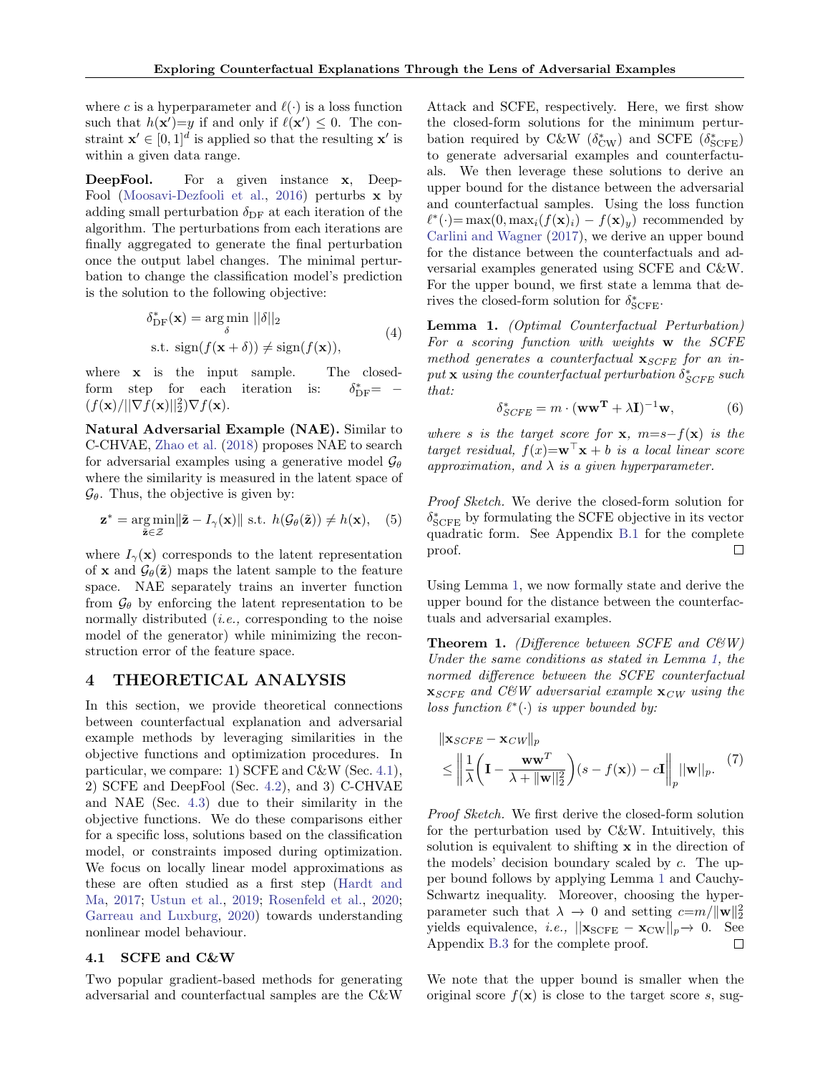where c is a hyperparameter and  $\ell(\cdot)$  is a loss function such that  $h(\mathbf{x}')=y$  if and only if  $\ell(\mathbf{x}') \leq 0$ . The constraint  $\mathbf{x}' \in [0,1]^d$  is applied so that the resulting  $\mathbf{x}'$  is within a given data range.

DeepFool. For a given instance x, Deep-Fool [\(Moosavi-Dezfooli et al.,](#page-9-10) [2016\)](#page-9-10) perturbs  $\bf{x}$  by adding small perturbation  $\delta_{\text{DF}}$  at each iteration of the algorithm. The perturbations from each iterations are finally aggregated to generate the final perturbation once the output label changes. The minimal perturbation to change the classification model's prediction is the solution to the following objective:

$$
\delta_{\text{DF}}^{*}(\mathbf{x}) = \underset{\delta}{\arg\min} \, ||\delta||_{2}
$$
  
s.t. 
$$
\text{sign}(f(\mathbf{x} + \delta)) \neq \text{sign}(f(\mathbf{x})),
$$
 (4)

where **x** is the input sample. The closedform step for each iteration is:  $_{\text{DF}}^* = (f(\mathbf{x})/||\nabla f(\mathbf{x})||_2^2)\nabla f(\mathbf{x}).$ 

Natural Adversarial Example (NAE). Similar to C-CHVAE, [Zhao et al.](#page-9-11) [\(2018\)](#page-9-11) proposes NAE to search for adversarial examples using a generative model  $\mathcal{G}_{\theta}$ where the similarity is measured in the latent space of  $\mathcal{G}_{\theta}$ . Thus, the objective is given by:

$$
\mathbf{z}^* = \underset{\tilde{\mathbf{z}} \in \mathcal{Z}}{\arg \min} \|\tilde{\mathbf{z}} - I_{\gamma}(\mathbf{x})\| \text{ s.t. } h(\mathcal{G}_{\theta}(\tilde{\mathbf{z}})) \neq h(\mathbf{x}), \quad (5)
$$

where  $I_{\gamma}(\mathbf{x})$  corresponds to the latent representation of **x** and  $\mathcal{G}_{\theta}(\tilde{\mathbf{z}})$  maps the latent sample to the feature space. NAE separately trains an inverter function from  $\mathcal{G}_{\theta}$  by enforcing the latent representation to be normally distributed *(i.e., corresponding to the noise* model of the generator) while minimizing the reconstruction error of the feature space.

### <span id="page-3-4"></span>4 THEORETICAL ANALYSIS

In this section, we provide theoretical connections between counterfactual explanation and adversarial example methods by leveraging similarities in the objective functions and optimization procedures. In particular, we compare: 1) SCFE and C&W (Sec. [4.1\)](#page-3-0), 2) SCFE and DeepFool (Sec. [4.2\)](#page-4-0), and 3) C-CHVAE and NAE (Sec. [4.3\)](#page-4-1) due to their similarity in the objective functions. We do these comparisons either for a specific loss, solutions based on the classification model, or constraints imposed during optimization. We focus on locally linear model approximations as these are often studied as a first step [\(Hardt and](#page-8-11) [Ma,](#page-8-11) [2017;](#page-8-11) [Ustun et al.,](#page-9-5) [2019;](#page-9-5) [Rosenfeld et al.,](#page-9-20) [2020;](#page-9-20) [Garreau and Luxburg,](#page-8-12) [2020\)](#page-8-12) towards understanding nonlinear model behaviour.

### <span id="page-3-0"></span>4.1 SCFE and C&W

Two popular gradient-based methods for generating adversarial and counterfactual samples are the C&W Attack and SCFE, respectively. Here, we first show the closed-form solutions for the minimum perturbation required by C&W  $(\delta_{\rm CW}^*)$  and SCFE  $(\delta_{\rm SCFE}^*)$ to generate adversarial examples and counterfactuals. We then leverage these solutions to derive an upper bound for the distance between the adversarial and counterfactual samples. Using the loss function  $\ell^*(\cdot) = \max(0, \max_i(f(\mathbf{x})_i) - f(\mathbf{x})_y)$  recommended by [Carlini and Wagner](#page-8-4) [\(2017\)](#page-8-4), we derive an upper bound for the distance between the counterfactuals and adversarial examples generated using SCFE and C&W. For the upper bound, we first state a lemma that derives the closed-form solution for  $\delta^*_{\rm SCFE}$ .

<span id="page-3-1"></span>Lemma 1. (Optimal Counterfactual Perturbation) For a scoring function with weights w the SCFE method generates a counterfactual  $\mathbf{x}_{SCFE}$  for an in $put \times using \ the \ counterfactual \ perturbation \ \delta^*_{SCFE} \ such$ that:

$$
\delta_{SCFE}^* = m \cdot (\mathbf{w}\mathbf{w}^{\mathbf{T}} + \lambda \mathbf{I})^{-1} \mathbf{w},\tag{6}
$$

where s is the target score for  $x$ ,  $m=s-f(x)$  is the target residual,  $f(x) = \mathbf{w}^\top \mathbf{x} + b$  is a local linear score approximation, and  $\lambda$  is a given hyperparameter.

<span id="page-3-3"></span>Proof Sketch. We derive the closed-form solution for  $\delta^*_{\rm SCFE}$  by formulating the SCFE objective in its vector quadratic form. See Appendix [B.1](#page-11-0) for the complete  $\Box$ proof.

Using Lemma [1,](#page-3-1) we now formally state and derive the upper bound for the distance between the counterfactuals and adversarial examples.

<span id="page-3-2"></span>**Theorem 1.** (Difference between SCFE and C&W) Under the same conditions as stated in Lemma [1,](#page-3-1) the normed difference between the SCFE counterfactual  $\mathbf{x}_{SCFE}$  and C&W adversarial example  $\mathbf{x}_{CW}$  using the loss function  $\ell^*(\cdot)$  is upper bounded by:

<span id="page-3-5"></span>
$$
\|\mathbf{x}_{SCFE} - \mathbf{x}_{CW}\|_p
$$
  
\n
$$
\leq \left\|\frac{1}{\lambda}\left(\mathbf{I} - \frac{\mathbf{w}\mathbf{w}^T}{\lambda + \|\mathbf{w}\|_2^2}\right)(s - f(\mathbf{x})) - c\mathbf{I}\right\|_p \|\mathbf{w}\|_p. (7)
$$

Proof Sketch. We first derive the closed-form solution for the perturbation used by C&W. Intuitively, this solution is equivalent to shifting x in the direction of the models' decision boundary scaled by c. The upper bound follows by applying Lemma [1](#page-3-1) and Cauchy-Schwartz inequality. Moreover, choosing the hyperparameter such that  $\lambda \to 0$  and setting  $c = m / ||\mathbf{w}||_2^2$ yields equivalence, *i.e.*,  $||\mathbf{x}_{SCFE} - \mathbf{x}_{CW}||_p \rightarrow 0$ . See Appendix [B.3](#page-12-0) for the complete proof.  $\Box$ 

We note that the upper bound is smaller when the original score  $f(\mathbf{x})$  is close to the target score s, sug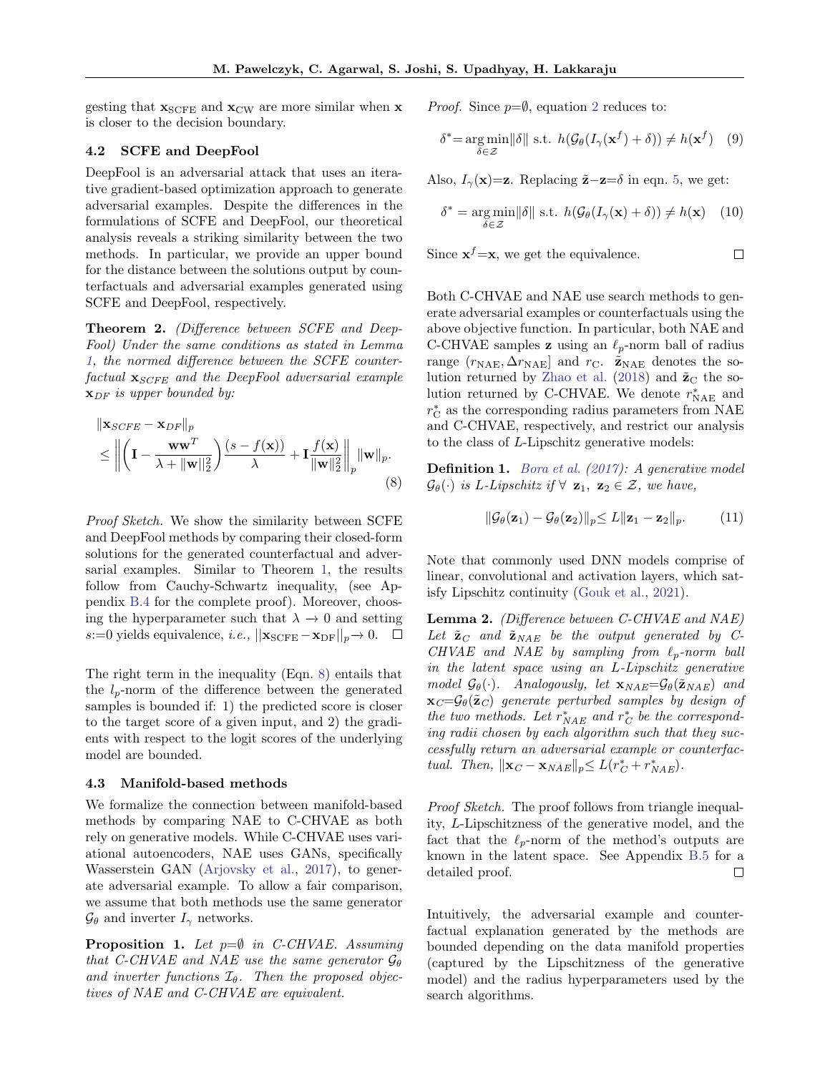gesting that  $\mathbf{x}_{SCFE}$  and  $\mathbf{x}_{CW}$  are more similar when  $\mathbf{x}$ is closer to the decision boundary.

### <span id="page-4-0"></span>4.2 SCFE and DeepFool

DeepFool is an adversarial attack that uses an iterative gradient-based optimization approach to generate adversarial examples. Despite the differences in the formulations of SCFE and DeepFool, our theoretical analysis reveals a striking similarity between the two methods. In particular, we provide an upper bound for the distance between the solutions output by counterfactuals and adversarial examples generated using SCFE and DeepFool, respectively.

<span id="page-4-3"></span>Theorem 2. (Difference between SCFE and Deep-Fool) Under the same conditions as stated in Lemma [1,](#page-3-1) the normed difference between the SCFE counterfactual  $\mathbf{x}_{SCFE}$  and the DeepFool adversarial example  $\mathbf{x}_{DF}$  is upper bounded by:

$$
\|\mathbf{x}_{SCFE} - \mathbf{x}_{DF}\|_{p} \le \left\| \left( \mathbf{I} - \frac{\mathbf{w}\mathbf{w}^{T}}{\lambda + \|\mathbf{w}\|_{2}^{2}} \right) \frac{(s - f(\mathbf{x}))}{\lambda} + \mathbf{I} \frac{f(\mathbf{x})}{\|\mathbf{w}\|_{2}^{2}} \right\|_{p} \|\mathbf{w}\|_{p}.
$$
\n(8)

Proof Sketch. We show the similarity between SCFE and DeepFool methods by comparing their closed-form solutions for the generated counterfactual and adversarial examples. Similar to Theorem [1,](#page-3-2) the results follow from Cauchy-Schwartz inequality, (see Appendix [B.4](#page-13-0) for the complete proof). Moreover, choosing the hyperparameter such that  $\lambda \to 0$  and setting s:=0 yields equivalence, *i.e.*,  $||\mathbf{x}_{SCFE}-\mathbf{x}_{DF}||_p\rightarrow 0$ . □

The right term in the inequality (Eqn. [8\)](#page-4-2) entails that the  $l_p$ -norm of the difference between the generated samples is bounded if: 1) the predicted score is closer to the target score of a given input, and 2) the gradients with respect to the logit scores of the underlying model are bounded.

#### <span id="page-4-1"></span>4.3 Manifold-based methods

We formalize the connection between manifold-based methods by comparing NAE to C-CHVAE as both rely on generative models. While C-CHVAE uses variational autoencoders, NAE uses GANs, specifically Wasserstein GAN [\(Arjovsky et al.,](#page-8-13) [2017\)](#page-8-13), to generate adversarial example. To allow a fair comparison, we assume that both methods use the same generator  $\mathcal{G}_{\theta}$  and inverter  $I_{\gamma}$  networks.

**Proposition 1.** Let  $p=\emptyset$  in C-CHVAE. Assuming that C-CHVAE and NAE use the same generator  $\mathcal{G}_{\theta}$ and inverter functions  $\mathcal{I}_{\theta}$ . Then the proposed objectives of NAE and C-CHVAE are equivalent.

*Proof.* Since  $p=\emptyset$ , equation [2](#page-2-0) reduces to:

$$
\delta^* = \underset{\delta \in \mathcal{Z}}{\arg \min} ||\delta|| \text{ s.t. } h(\mathcal{G}_{\theta}(I_{\gamma}(\mathbf{x}^f) + \delta)) \neq h(\mathbf{x}^f) \quad (9)
$$

Also,  $I_{\gamma}(\mathbf{x})=z$ . Replacing  $\tilde{\mathbf{z}}-\mathbf{z}=\delta$  in eqn. [5,](#page-3-3) we get:

$$
\delta^* = \underset{\delta \in \mathcal{Z}}{\arg \min} ||\delta|| \text{ s.t. } h(\mathcal{G}_{\theta}(I_{\gamma}(\mathbf{x}) + \delta)) \neq h(\mathbf{x}) \quad (10)
$$

 $\Box$ 

Since  $\mathbf{x}^f = \mathbf{x}$ , we get the equivalence.

Both C-CHVAE and NAE use search methods to generate adversarial examples or counterfactuals using the above objective function. In particular, both NAE and C-CHVAE samples **z** using an  $\ell_p$ -norm ball of radius range  $(r_{\text{NAE}}, \Delta r_{\text{NAE}})$  and  $r_{\text{C}}$ .  $\tilde{\mathbf{z}}_{\text{NAE}}$  denotes the so-lution returned by [Zhao et al.](#page-9-11) [\(2018\)](#page-9-11) and  $\tilde{\mathbf{z}}_C$  the solution returned by C-CHVAE. We denote  $r^*_{\text{NAE}}$  and  $r_{\rm C}^*$  as the corresponding radius parameters from NAE and C-CHVAE, respectively, and restrict our analysis to the class of L-Lipschitz generative models:

<span id="page-4-2"></span>Definition 1. [Bora et al.](#page-8-14) [\(2017\)](#page-8-14): A generative model  $\mathcal{G}_{\theta}(\cdot)$  is L-Lipschitz if  $\forall$  **z**<sub>1</sub>, **z**<sub>2</sub>  $\in \mathcal{Z}$ *, we have,* 

$$
\|\mathcal{G}_{\theta}(\mathbf{z}_1) - \mathcal{G}_{\theta}(\mathbf{z}_2)\|_p \le L \|\mathbf{z}_1 - \mathbf{z}_2\|_p. \tag{11}
$$

Note that commonly used DNN models comprise of linear, convolutional and activation layers, which satisfy Lipschitz continuity [\(Gouk et al.,](#page-8-15) [2021\)](#page-8-15).

<span id="page-4-4"></span>Lemma 2. (Difference between C-CHVAE and NAE) Let  $\tilde{\mathbf{z}}_C$  and  $\tilde{\mathbf{z}}_{NAE}$  be the output generated by C-CHVAE and NAE by sampling from  $\ell_p$ -norm ball in the latent space using an L-Lipschitz generative model  $\mathcal{G}_{\theta}(\cdot)$ . Analogously, let  $\mathbf{x}_{NAE} = \mathcal{G}_{\theta}(\tilde{\mathbf{z}}_{NAE})$  and  $\mathbf{x}_C = \mathcal{G}_{\theta}(\tilde{\mathbf{z}}_C)$  generate perturbed samples by design of the two methods. Let  $r_{NAE}^*$  and  $r_C^*$  be the corresponding radii chosen by each algorithm such that they successfully return an adversarial example or counterfactual. Then,  $\|\mathbf{x}_C - \mathbf{x}_{NAE}\|_p \le L(r_C^* + r_{NAE}^*)$ .

Proof Sketch. The proof follows from triangle inequality, L-Lipschitzness of the generative model, and the fact that the  $\ell_p$ -norm of the method's outputs are known in the latent space. See Appendix [B.5](#page-14-0) for a detailed proof. П

Intuitively, the adversarial example and counterfactual explanation generated by the methods are bounded depending on the data manifold properties (captured by the Lipschitzness of the generative model) and the radius hyperparameters used by the search algorithms.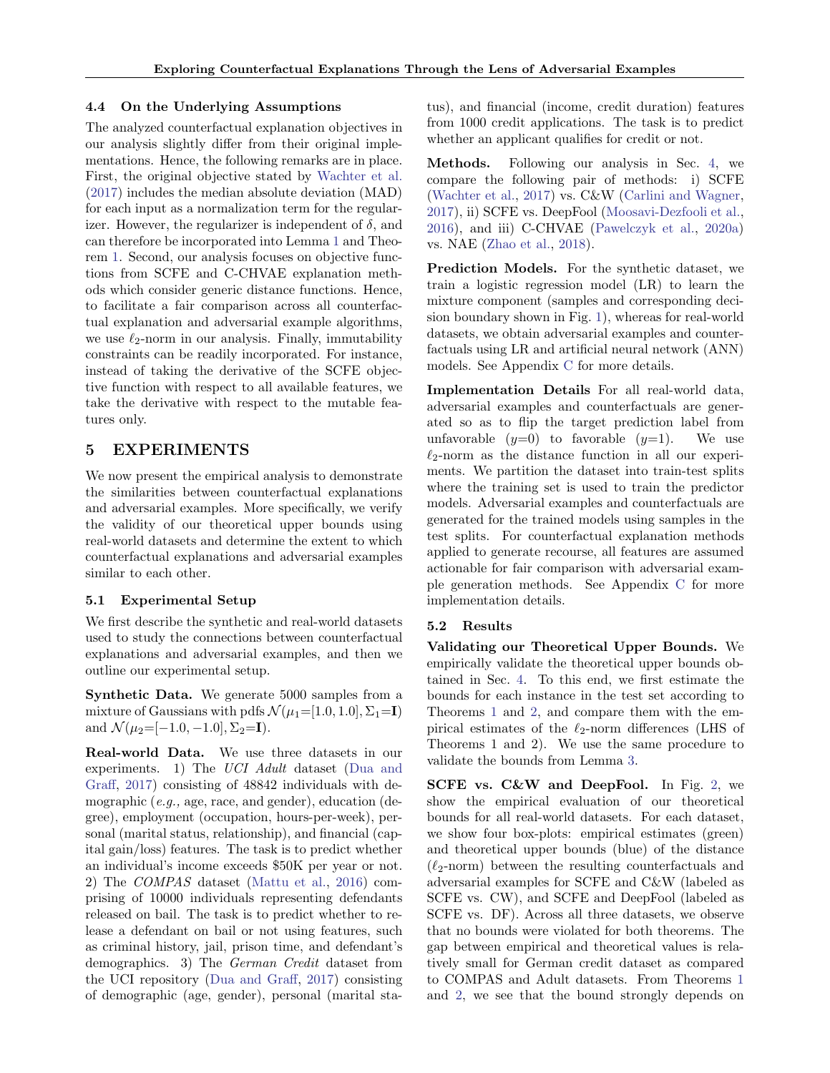### 4.4 On the Underlying Assumptions

The analyzed counterfactual explanation objectives in our analysis slightly differ from their original implementations. Hence, the following remarks are in place. First, the original objective stated by [Wachter et al.](#page-9-4) [\(2017\)](#page-9-4) includes the median absolute deviation (MAD) for each input as a normalization term for the regularizer. However, the regularizer is independent of  $\delta$ , and can therefore be incorporated into Lemma [1](#page-3-1) and Theorem [1.](#page-3-2) Second, our analysis focuses on objective functions from SCFE and C-CHVAE explanation methods which consider generic distance functions. Hence, to facilitate a fair comparison across all counterfactual explanation and adversarial example algorithms, we use  $\ell_2$ -norm in our analysis. Finally, immutability constraints can be readily incorporated. For instance, instead of taking the derivative of the SCFE objective function with respect to all available features, we take the derivative with respect to the mutable features only.

# <span id="page-5-0"></span>5 EXPERIMENTS

We now present the empirical analysis to demonstrate the similarities between counterfactual explanations and adversarial examples. More specifically, we verify the validity of our theoretical upper bounds using real-world datasets and determine the extent to which counterfactual explanations and adversarial examples similar to each other.

# 5.1 Experimental Setup

We first describe the synthetic and real-world datasets used to study the connections between counterfactual explanations and adversarial examples, and then we outline our experimental setup.

Synthetic Data. We generate 5000 samples from a mixture of Gaussians with pdfs  $\mathcal{N}(\mu_1=[1.0, 1.0], \Sigma_1=I)$ and  $\mathcal{N}(\mu_2=[-1.0,-1.0], \Sigma_2=\mathbf{I}).$ 

Real-world Data. We use three datasets in our experiments. 1) The UCI Adult dataset [\(Dua and](#page-8-16) [Graff,](#page-8-16) [2017\)](#page-8-16) consisting of 48842 individuals with demographic (e.g., age, race, and gender), education (degree), employment (occupation, hours-per-week), personal (marital status, relationship), and financial (capital gain/loss) features. The task is to predict whether an individual's income exceeds \$50K per year or not. 2) The COMPAS dataset [\(Mattu et al.,](#page-9-21) [2016\)](#page-9-21) comprising of 10000 individuals representing defendants released on bail. The task is to predict whether to release a defendant on bail or not using features, such as criminal history, jail, prison time, and defendant's demographics. 3) The German Credit dataset from the UCI repository [\(Dua and Graff,](#page-8-16) [2017\)](#page-8-16) consisting of demographic (age, gender), personal (marital status), and financial (income, credit duration) features from 1000 credit applications. The task is to predict whether an applicant qualifies for credit or not.

Methods. Following our analysis in Sec. [4,](#page-3-4) we compare the following pair of methods: i) SCFE [\(Wachter et al.,](#page-9-4) [2017\)](#page-9-4) vs. C&W [\(Carlini and Wagner,](#page-8-4) [2017\)](#page-8-4), ii) SCFE vs. DeepFool [\(Moosavi-Dezfooli et al.,](#page-9-10) [2016\)](#page-9-10), and iii) C-CHVAE [\(Pawelczyk et al.,](#page-9-7) [2020a\)](#page-9-7) vs. NAE [\(Zhao et al.,](#page-9-11) [2018\)](#page-9-11).

Prediction Models. For the synthetic dataset, we train a logistic regression model (LR) to learn the mixture component (samples and corresponding decision boundary shown in Fig. [1\)](#page-6-0), whereas for real-world datasets, we obtain adversarial examples and counterfactuals using LR and artificial neural network (ANN) models. See Appendix [C](#page-15-0) for more details.

Implementation Details For all real-world data, adversarial examples and counterfactuals are generated so as to flip the target prediction label from unfavorable  $(y=0)$  to favorable  $(y=1)$ . We use  $\ell_2$ -norm as the distance function in all our experiments. We partition the dataset into train-test splits where the training set is used to train the predictor models. Adversarial examples and counterfactuals are generated for the trained models using samples in the test splits. For counterfactual explanation methods applied to generate recourse, all features are assumed actionable for fair comparison with adversarial example generation methods. See Appendix [C](#page-15-0) for more implementation details.

# 5.2 Results

Validating our Theoretical Upper Bounds. We empirically validate the theoretical upper bounds obtained in Sec. [4.](#page-3-4) To this end, we first estimate the bounds for each instance in the test set according to Theorems [1](#page-3-2) and [2,](#page-4-3) and compare them with the empirical estimates of the  $\ell_2$ -norm differences (LHS of Theorems 1 and 2). We use the same procedure to validate the bounds from Lemma [3.](#page-12-1)

SCFE vs. C&W and DeepFool. In Fig. [2,](#page-6-1) we show the empirical evaluation of our theoretical bounds for all real-world datasets. For each dataset, we show four box-plots: empirical estimates (green) and theoretical upper bounds (blue) of the distance  $(\ell_2\text{-norm})$  between the resulting counterfactuals and adversarial examples for SCFE and C&W (labeled as SCFE vs. CW), and SCFE and DeepFool (labeled as SCFE vs. DF). Across all three datasets, we observe that no bounds were violated for both theorems. The gap between empirical and theoretical values is relatively small for German credit dataset as compared to COMPAS and Adult datasets. From Theorems [1](#page-3-2) and [2,](#page-4-3) we see that the bound strongly depends on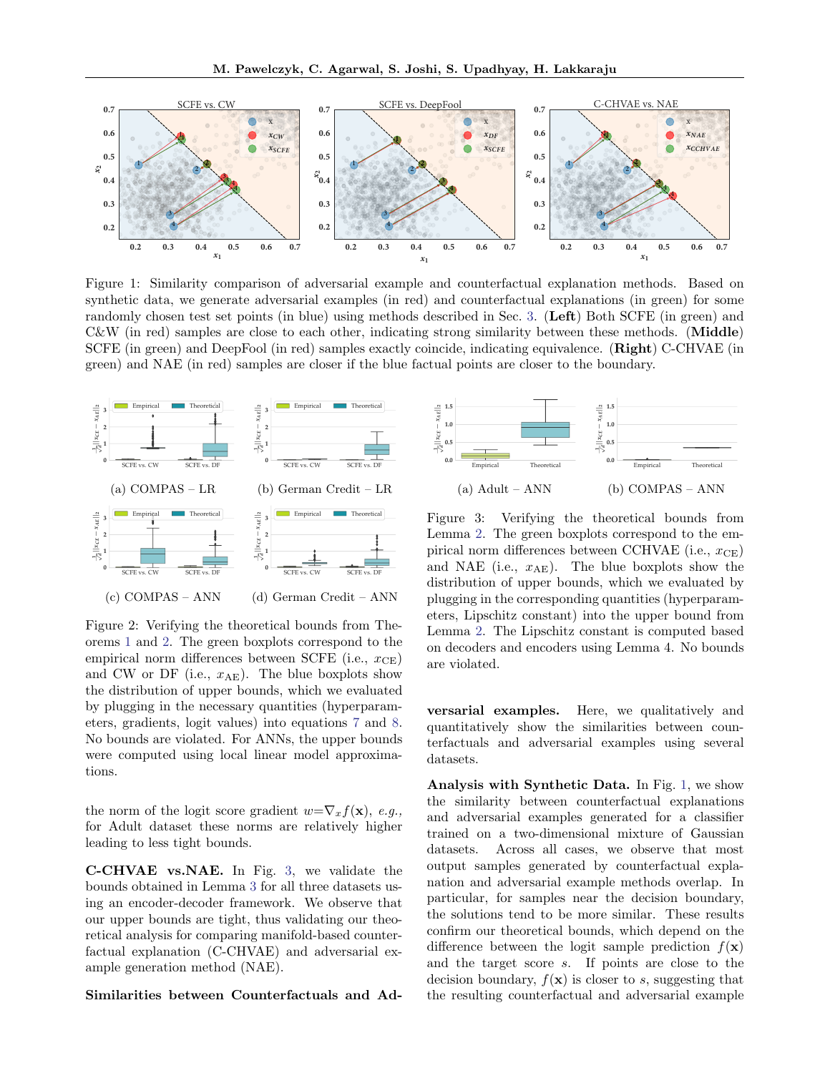<span id="page-6-0"></span>

Figure 1: Similarity comparison of adversarial example and counterfactual explanation methods. Based on synthetic data, we generate adversarial examples (in red) and counterfactual explanations (in green) for some randomly chosen test set points (in blue) using methods described in Sec. [3.](#page-2-1) (Left) Both SCFE (in green) and  $C\&W$  (in red) samples are close to each other, indicating strong similarity between these methods. (**Middle**) SCFE (in green) and DeepFool (in red) samples exactly coincide, indicating equivalence. (Right) C-CHVAE (in green) and NAE (in red) samples are closer if the blue factual points are closer to the boundary.

<span id="page-6-1"></span>

Figure 2: Verifying the theoretical bounds from Theorems [1](#page-3-2) and [2.](#page-4-3) The green boxplots correspond to the empirical norm differences between SCFE (i.e.,  $x_{\text{CE}}$ ) and CW or DF (i.e.,  $x_{AE}$ ). The blue boxplots show the distribution of upper bounds, which we evaluated by plugging in the necessary quantities (hyperparameters, gradients, logit values) into equations [7](#page-3-5) and [8.](#page-4-2) No bounds are violated. For ANNs, the upper bounds were computed using local linear model approximations.

the norm of the logit score gradient  $w=\nabla_x f(\mathbf{x}), e.g.,$ for Adult dataset these norms are relatively higher leading to less tight bounds.

C-CHVAE vs.NAE. In Fig. [3,](#page-6-2) we validate the bounds obtained in Lemma [3](#page-12-1) for all three datasets using an encoder-decoder framework. We observe that our upper bounds are tight, thus validating our theoretical analysis for comparing manifold-based counterfactual explanation (C-CHVAE) and adversarial example generation method (NAE).

Similarities between Counterfactuals and Ad-

<span id="page-6-2"></span>

Figure 3: Verifying the theoretical bounds from Lemma [2.](#page-4-4) The green boxplots correspond to the empirical norm differences between CCHVAE (i.e.,  $x_{\text{CE}}$ ) and NAE (i.e.,  $x_{AE}$ ). The blue boxplots show the distribution of upper bounds, which we evaluated by plugging in the corresponding quantities (hyperparameters, Lipschitz constant) into the upper bound from Lemma [2.](#page-4-4) The Lipschitz constant is computed based on decoders and encoders using Lemma 4. No bounds are violated.

versarial examples. Here, we qualitatively and quantitatively show the similarities between counterfactuals and adversarial examples using several datasets.

Analysis with Synthetic Data. In Fig. [1,](#page-6-0) we show the similarity between counterfactual explanations and adversarial examples generated for a classifier trained on a two-dimensional mixture of Gaussian datasets. Across all cases, we observe that most output samples generated by counterfactual explanation and adversarial example methods overlap. In particular, for samples near the decision boundary, the solutions tend to be more similar. These results confirm our theoretical bounds, which depend on the difference between the logit sample prediction  $f(\mathbf{x})$ and the target score s. If points are close to the decision boundary,  $f(\mathbf{x})$  is closer to s, suggesting that the resulting counterfactual and adversarial example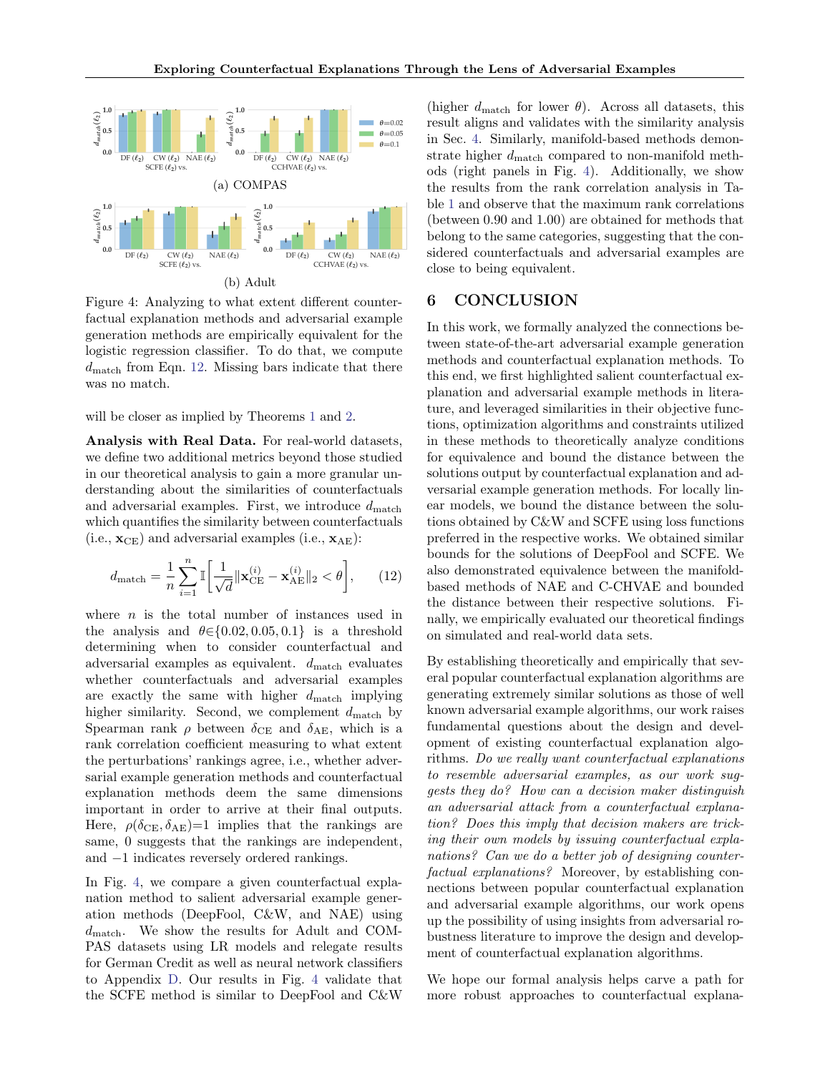<span id="page-7-1"></span>

Figure 4: Analyzing to what extent different counterfactual explanation methods and adversarial example generation methods are empirically equivalent for the logistic regression classifier. To do that, we compute  $d_{\text{match}}$  from Eqn. [12.](#page-7-0) Missing bars indicate that there was no match.

will be closer as implied by Theorems [1](#page-3-2) and [2.](#page-4-3)

Analysis with Real Data. For real-world datasets, we define two additional metrics beyond those studied in our theoretical analysis to gain a more granular understanding about the similarities of counterfactuals and adversarial examples. First, we introduce  $d_{\text{match}}$ which quantifies the similarity between counterfactuals  $(i.e., \mathbf{x}_{CE})$  and adversarial examples  $(i.e., \mathbf{x}_{AE})$ :

$$
d_{\text{match}} = \frac{1}{n} \sum_{i=1}^{n} \mathbb{I} \left[ \frac{1}{\sqrt{d}} ||\mathbf{x}_{\text{CE}}^{(i)} - \mathbf{x}_{\text{AE}}^{(i)}||_2 < \theta \right],\qquad(12)
$$

where  $n$  is the total number of instances used in the analysis and  $\theta \in \{0.02, 0.05, 0.1\}$  is a threshold determining when to consider counterfactual and adversarial examples as equivalent.  $d_{\text{match}}$  evaluates whether counterfactuals and adversarial examples are exactly the same with higher  $d_{\text{match}}$  implying higher similarity. Second, we complement  $d_{\text{match}}$  by Spearman rank  $\rho$  between  $\delta_{CE}$  and  $\delta_{AE}$ , which is a rank correlation coefficient measuring to what extent the perturbations' rankings agree, i.e., whether adversarial example generation methods and counterfactual explanation methods deem the same dimensions important in order to arrive at their final outputs. Here,  $\rho(\delta_{\text{CE}}, \delta_{\text{AE}})=1$  implies that the rankings are same, 0 suggests that the rankings are independent, and −1 indicates reversely ordered rankings.

In Fig. [4,](#page-7-1) we compare a given counterfactual explanation method to salient adversarial example generation methods (DeepFool, C&W, and NAE) using  $d_{\text{match}}$ . We show the results for Adult and COM-PAS datasets using LR models and relegate results for German Credit as well as neural network classifiers to Appendix [D.](#page-17-0) Our results in Fig. [4](#page-7-1) validate that the SCFE method is similar to DeepFool and C&W

(higher  $d_{\text{match}}$  for lower  $\theta$ ). Across all datasets, this result aligns and validates with the similarity analysis in Sec. [4.](#page-3-4) Similarly, manifold-based methods demonstrate higher  $d_{\text{match}}$  compared to non-manifold methods (right panels in Fig. [4\)](#page-7-1). Additionally, we show the results from the rank correlation analysis in Table [1](#page-8-17) and observe that the maximum rank correlations (between 0.90 and 1.00) are obtained for methods that belong to the same categories, suggesting that the considered counterfactuals and adversarial examples are close to being equivalent.

# 6 CONCLUSION

In this work, we formally analyzed the connections between state-of-the-art adversarial example generation methods and counterfactual explanation methods. To this end, we first highlighted salient counterfactual explanation and adversarial example methods in literature, and leveraged similarities in their objective functions, optimization algorithms and constraints utilized in these methods to theoretically analyze conditions for equivalence and bound the distance between the solutions output by counterfactual explanation and adversarial example generation methods. For locally linear models, we bound the distance between the solutions obtained by C&W and SCFE using loss functions preferred in the respective works. We obtained similar bounds for the solutions of DeepFool and SCFE. We also demonstrated equivalence between the manifoldbased methods of NAE and C-CHVAE and bounded the distance between their respective solutions. Finally, we empirically evaluated our theoretical findings on simulated and real-world data sets.

<span id="page-7-0"></span>By establishing theoretically and empirically that several popular counterfactual explanation algorithms are generating extremely similar solutions as those of well known adversarial example algorithms, our work raises fundamental questions about the design and development of existing counterfactual explanation algorithms. Do we really want counterfactual explanations to resemble adversarial examples, as our work suggests they do? How can a decision maker distinguish an adversarial attack from a counterfactual explanation? Does this imply that decision makers are tricking their own models by issuing counterfactual explanations? Can we do a better job of designing counterfactual explanations? Moreover, by establishing connections between popular counterfactual explanation and adversarial example algorithms, our work opens up the possibility of using insights from adversarial robustness literature to improve the design and development of counterfactual explanation algorithms.

We hope our formal analysis helps carve a path for more robust approaches to counterfactual explana-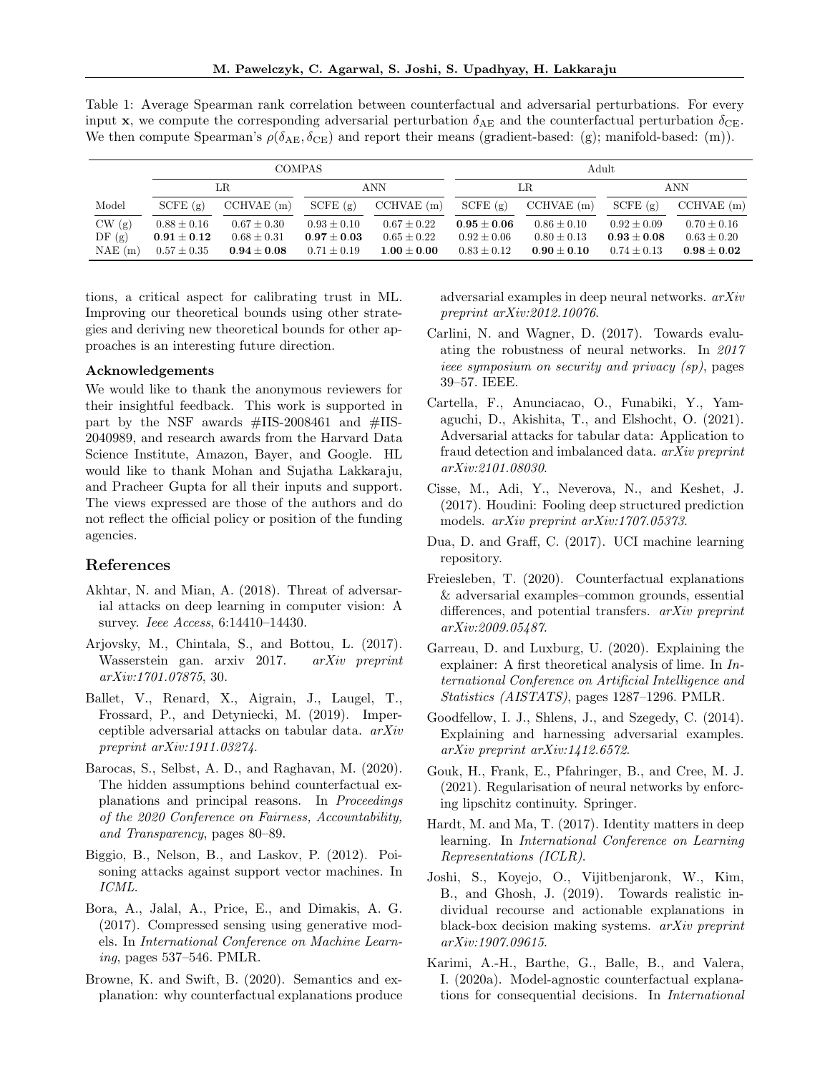<span id="page-8-17"></span>Table 1: Average Spearman rank correlation between counterfactual and adversarial perturbations. For every input x, we compute the corresponding adversarial perturbation  $\delta_{AE}$  and the counterfactual perturbation  $\delta_{CE}$ . We then compute Spearman's  $\rho(\delta_{AE}, \delta_{CE})$  and report their means (gradient-based: (g); manifold-based: (m)).

|        |                 | <b>COMPAS</b>   |                 |                 |                 | Adult           |                 |                 |  |
|--------|-----------------|-----------------|-----------------|-----------------|-----------------|-----------------|-----------------|-----------------|--|
|        |                 | LR.             | <b>ANN</b>      |                 | LR.             |                 | <b>ANN</b>      |                 |  |
| Model  | SCFE(g)         | $CCHVAE$ (m)    | SCFE(g)         | $CCHVAE$ (m)    | SCFE(g)         | $CCHVAE$ (m)    | SCFE(g)         | $CCHVAE$ (m)    |  |
| CW(g)  | $0.88 \pm 0.16$ | $0.67 \pm 0.30$ | $0.93 \pm 0.10$ | $0.67 \pm 0.22$ | $0.95\pm0.06$   | $0.86 \pm 0.10$ | $0.92 \pm 0.09$ | $0.70 \pm 0.16$ |  |
| DF(g)  | $0.91\pm0.12$   | $0.68 + 0.31$   | $0.97\pm0.03$   | $0.65 \pm 0.22$ | $0.92 + 0.06$   | $0.80 \pm 0.13$ | $0.93 + 0.08$   | $0.63 \pm 0.20$ |  |
| NAE(m) | $0.57 \pm 0.35$ | $0.94\pm0.08$   | $0.71 \pm 0.19$ | $1.00\pm0.00$   | $0.83 \pm 0.12$ | $0.90 + 0.10$   | $0.74 + 0.13$   | $0.98\pm0.02$   |  |

tions, a critical aspect for calibrating trust in ML. Improving our theoretical bounds using other strategies and deriving new theoretical bounds for other approaches is an interesting future direction.

### Acknowledgements

We would like to thank the anonymous reviewers for their insightful feedback. This work is supported in part by the NSF awards #IIS-2008461 and #IIS-2040989, and research awards from the Harvard Data Science Institute, Amazon, Bayer, and Google. HL would like to thank Mohan and Sujatha Lakkaraju, and Pracheer Gupta for all their inputs and support. The views expressed are those of the authors and do not reflect the official policy or position of the funding agencies.

### References

- <span id="page-8-8"></span>Akhtar, N. and Mian, A. (2018). Threat of adversarial attacks on deep learning in computer vision: A survey. Ieee Access, 6:14410–14430.
- <span id="page-8-13"></span>Arjovsky, M., Chintala, S., and Bottou, L. (2017). Wasserstein gan. arxiv 2017. arXiv preprint arXiv:1701.07875, 30.
- <span id="page-8-1"></span>Ballet, V., Renard, X., Aigrain, J., Laugel, T., Frossard, P., and Detyniecki, M. (2019). Imperceptible adversarial attacks on tabular data. arXiv preprint arXiv:1911.03274.
- <span id="page-8-0"></span>Barocas, S., Selbst, A. D., and Raghavan, M. (2020). The hidden assumptions behind counterfactual explanations and principal reasons. In Proceedings of the 2020 Conference on Fairness, Accountability, and Transparency, pages 80–89.
- <span id="page-8-18"></span>Biggio, B., Nelson, B., and Laskov, P. (2012). Poisoning attacks against support vector machines. In ICML.
- <span id="page-8-14"></span>Bora, A., Jalal, A., Price, E., and Dimakis, A. G. (2017). Compressed sensing using generative models. In International Conference on Machine Learn $ing,$  pages 537–546. PMLR.
- <span id="page-8-10"></span>Browne, K. and Swift, B. (2020). Semantics and explanation: why counterfactual explanations produce

adversarial examples in deep neural networks. arXiv preprint arXiv:2012.10076.

- <span id="page-8-4"></span>Carlini, N. and Wagner, D. (2017). Towards evaluating the robustness of neural networks. In 2017 ieee symposium on security and privacy (sp), pages 39–57. IEEE.
- <span id="page-8-2"></span>Cartella, F., Anunciacao, O., Funabiki, Y., Yamaguchi, D., Akishita, T., and Elshocht, O. (2021). Adversarial attacks for tabular data: Application to fraud detection and imbalanced data. arXiv preprint arXiv:2101.08030.
- <span id="page-8-7"></span>Cisse, M., Adi, Y., Neverova, N., and Keshet, J. (2017). Houdini: Fooling deep structured prediction models. arXiv preprint arXiv:1707.05373.
- <span id="page-8-16"></span>Dua, D. and Graff, C. (2017). UCI machine learning repository.
- <span id="page-8-5"></span>Freiesleben, T. (2020). Counterfactual explanations & adversarial examples–common grounds, essential differences, and potential transfers. arXiv preprint arXiv:2009.05487.
- <span id="page-8-12"></span>Garreau, D. and Luxburg, U. (2020). Explaining the explainer: A first theoretical analysis of lime. In International Conference on Artificial Intelligence and Statistics (AISTATS), pages 1287–1296. PMLR.
- <span id="page-8-3"></span>Goodfellow, I. J., Shlens, J., and Szegedy, C. (2014). Explaining and harnessing adversarial examples. arXiv preprint arXiv:1412.6572.
- <span id="page-8-15"></span>Gouk, H., Frank, E., Pfahringer, B., and Cree, M. J. (2021). Regularisation of neural networks by enforcing lipschitz continuity. Springer.
- <span id="page-8-11"></span>Hardt, M. and Ma, T. (2017). Identity matters in deep learning. In International Conference on Learning Representations (ICLR).
- <span id="page-8-6"></span>Joshi, S., Koyejo, O., Vijitbenjaronk, W., Kim, B., and Ghosh, J. (2019). Towards realistic individual recourse and actionable explanations in black-box decision making systems. arXiv preprint arXiv:1907.09615.
- <span id="page-8-9"></span>Karimi, A.-H., Barthe, G., Balle, B., and Valera, I. (2020a). Model-agnostic counterfactual explanations for consequential decisions. In International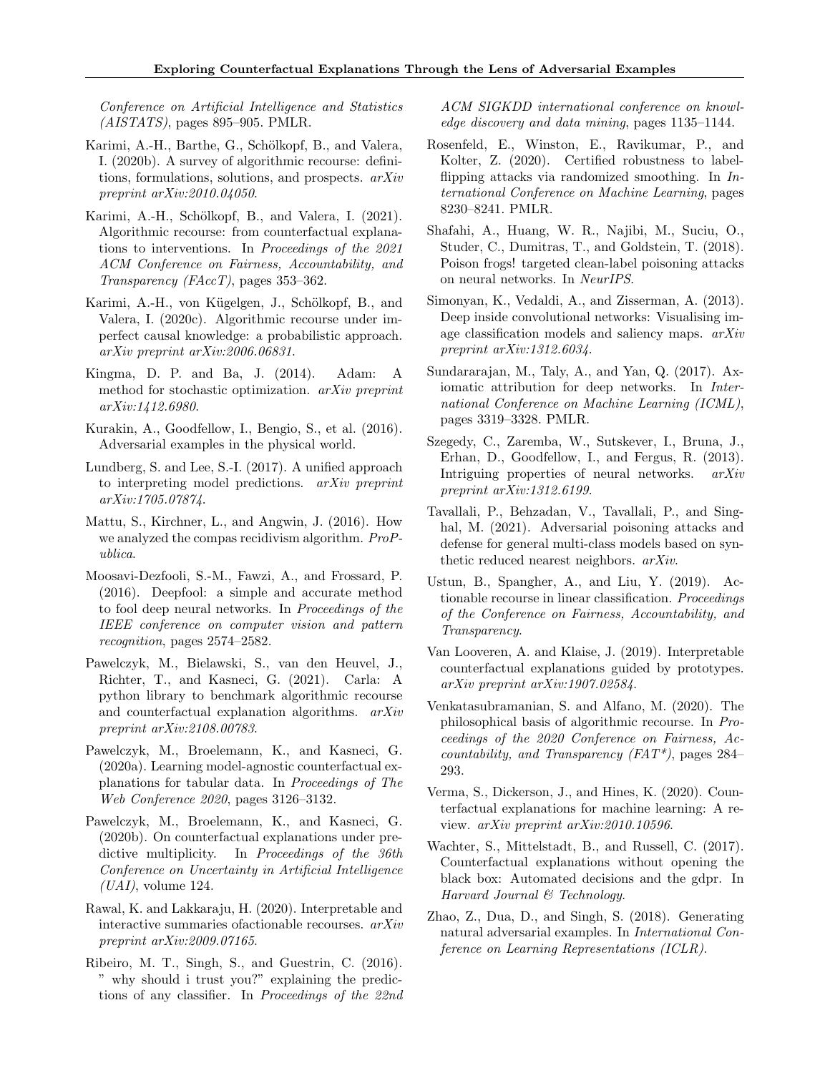Conference on Artificial Intelligence and Statistics  $(AISTATS)$ , pages 895–905. PMLR.

- <span id="page-9-15"></span>Karimi, A.-H., Barthe, G., Schölkopf, B., and Valera, I. (2020b). A survey of algorithmic recourse: definitions, formulations, solutions, and prospects. arXiv preprint arXiv:2010.04050.
- <span id="page-9-17"></span>Karimi, A.-H., Schölkopf, B., and Valera, I. (2021). Algorithmic recourse: from counterfactual explanations to interventions. In Proceedings of the 2021 ACM Conference on Fairness, Accountability, and Transparency ( $FAccT$ ), pages 353–362.
- <span id="page-9-8"></span>Karimi, A.-H., von Kügelgen, J., Schölkopf, B., and Valera, I. (2020c). Algorithmic recourse under imperfect causal knowledge: a probabilistic approach. arXiv preprint arXiv:2006.06831.
- <span id="page-9-23"></span>Kingma, D. P. and Ba, J. (2014). Adam: A method for stochastic optimization. arXiv preprint arXiv:1412.6980.
- <span id="page-9-13"></span>Kurakin, A., Goodfellow, I., Bengio, S., et al. (2016). Adversarial examples in the physical world.
- <span id="page-9-2"></span>Lundberg, S. and Lee, S.-I. (2017). A unified approach to interpreting model predictions. arXiv preprint arXiv:1705.07874.
- <span id="page-9-21"></span>Mattu, S., Kirchner, L., and Angwin, J. (2016). How we analyzed the compas recidivism algorithm. ProPublica.
- <span id="page-9-10"></span>Moosavi-Dezfooli, S.-M., Fawzi, A., and Frossard, P. (2016). Deepfool: a simple and accurate method to fool deep neural networks. In Proceedings of the IEEE conference on computer vision and pattern recognition, pages 2574–2582.
- <span id="page-9-24"></span>Pawelczyk, M., Bielawski, S., van den Heuvel, J., Richter, T., and Kasneci, G. (2021). Carla: A python library to benchmark algorithmic recourse and counterfactual explanation algorithms. arXiv preprint arXiv:2108.00783.
- <span id="page-9-7"></span>Pawelczyk, M., Broelemann, K., and Kasneci, G. (2020a). Learning model-agnostic counterfactual explanations for tabular data. In Proceedings of The Web Conference 2020, pages 3126–3132.
- <span id="page-9-12"></span>Pawelczyk, M., Broelemann, K., and Kasneci, G. (2020b). On counterfactual explanations under predictive multiplicity. In *Proceedings of the 36th* Conference on Uncertainty in Artificial Intelligence  $(UAI)$ , volume 124.
- <span id="page-9-18"></span>Rawal, K. and Lakkaraju, H. (2020). Interpretable and interactive summaries ofactionable recourses. arXiv preprint arXiv:2009.07165.
- <span id="page-9-1"></span>Ribeiro, M. T., Singh, S., and Guestrin, C. (2016). " why should i trust you?" explaining the predictions of any classifier. In Proceedings of the 22nd

ACM SIGKDD international conference on knowledge discovery and data mining, pages 1135–1144.

- <span id="page-9-20"></span>Rosenfeld, E., Winston, E., Ravikumar, P., and Kolter, Z. (2020). Certified robustness to labelflipping attacks via randomized smoothing. In International Conference on Machine Learning, pages 8230–8241. PMLR.
- <span id="page-9-19"></span>Shafahi, A., Huang, W. R., Najibi, M., Suciu, O., Studer, C., Dumitras, T., and Goldstein, T. (2018). Poison frogs! targeted clean-label poisoning attacks on neural networks. In NeurIPS.
- <span id="page-9-0"></span>Simonyan, K., Vedaldi, A., and Zisserman, A. (2013). Deep inside convolutional networks: Visualising image classification models and saliency maps. arXiv preprint arXiv:1312.6034.
- <span id="page-9-3"></span>Sundararajan, M., Taly, A., and Yan, Q. (2017). Axiomatic attribution for deep networks. In *Inter*national Conference on Machine Learning (ICML), pages 3319–3328. PMLR.
- <span id="page-9-9"></span>Szegedy, C., Zaremba, W., Sutskever, I., Bruna, J., Erhan, D., Goodfellow, I., and Fergus, R. (2013). Intriguing properties of neural networks. arXiv preprint arXiv:1312.6199.
- <span id="page-9-22"></span>Tavallali, P., Behzadan, V., Tavallali, P., and Singhal, M. (2021). Adversarial poisoning attacks and defense for general multi-class models based on synthetic reduced nearest neighbors. arXiv.
- <span id="page-9-5"></span>Ustun, B., Spangher, A., and Liu, Y. (2019). Actionable recourse in linear classification. Proceedings of the Conference on Fairness, Accountability, and Transparency.
- <span id="page-9-14"></span>Van Looveren, A. and Klaise, J. (2019). Interpretable counterfactual explanations guided by prototypes. arXiv preprint arXiv:1907.02584.
- <span id="page-9-6"></span>Venkatasubramanian, S. and Alfano, M. (2020). The philosophical basis of algorithmic recourse. In Proceedings of the 2020 Conference on Fairness, Accountability, and Transparency  $(FAT^*)$ , pages 284– 293.
- <span id="page-9-16"></span>Verma, S., Dickerson, J., and Hines, K. (2020). Counterfactual explanations for machine learning: A review. arXiv preprint arXiv:2010.10596.
- <span id="page-9-4"></span>Wachter, S., Mittelstadt, B., and Russell, C. (2017). Counterfactual explanations without opening the black box: Automated decisions and the gdpr. In Harvard Journal & Technology.
- <span id="page-9-11"></span>Zhao, Z., Dua, D., and Singh, S. (2018). Generating natural adversarial examples. In International Conference on Learning Representations (ICLR).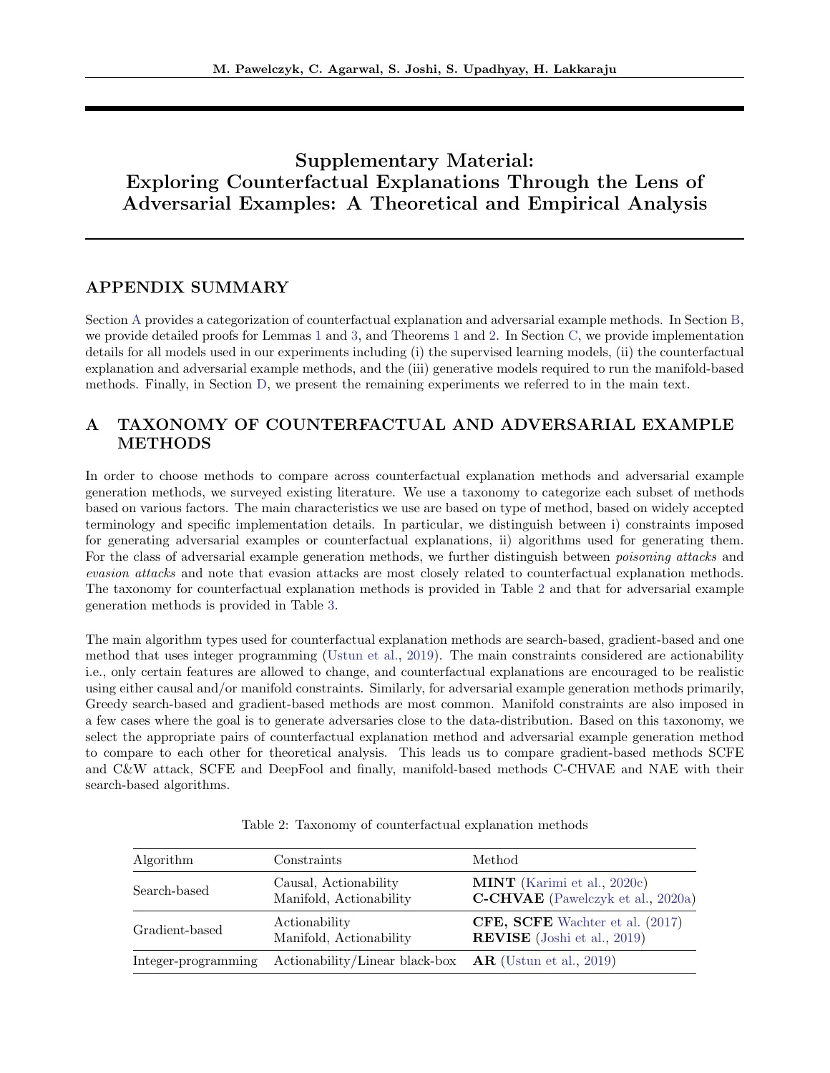# Supplementary Material: Exploring Counterfactual Explanations Through the Lens of Adversarial Examples: A Theoretical and Empirical Analysis

# APPENDIX SUMMARY

Section [A](#page-10-0) provides a categorization of counterfactual explanation and adversarial example methods. In Section [B,](#page-11-1) we provide detailed proofs for Lemmas [1](#page-3-1) and [3,](#page-12-1) and Theorems [1](#page-3-2) and [2.](#page-4-3) In Section [C,](#page-15-0) we provide implementation details for all models used in our experiments including (i) the supervised learning models, (ii) the counterfactual explanation and adversarial example methods, and the (iii) generative models required to run the manifold-based methods. Finally, in Section [D,](#page-17-0) we present the remaining experiments we referred to in the main text.

# <span id="page-10-0"></span>A TAXONOMY OF COUNTERFACTUAL AND ADVERSARIAL EXAMPLE **METHODS**

In order to choose methods to compare across counterfactual explanation methods and adversarial example generation methods, we surveyed existing literature. We use a taxonomy to categorize each subset of methods based on various factors. The main characteristics we use are based on type of method, based on widely accepted terminology and specific implementation details. In particular, we distinguish between i) constraints imposed for generating adversarial examples or counterfactual explanations, ii) algorithms used for generating them. For the class of adversarial example generation methods, we further distinguish between *poisoning attacks* and evasion attacks and note that evasion attacks are most closely related to counterfactual explanation methods. The taxonomy for counterfactual explanation methods is provided in Table [2](#page-10-1) and that for adversarial example generation methods is provided in Table [3.](#page-11-2)

The main algorithm types used for counterfactual explanation methods are search-based, gradient-based and one method that uses integer programming [\(Ustun et al.,](#page-9-5) [2019\)](#page-9-5). The main constraints considered are actionability i.e., only certain features are allowed to change, and counterfactual explanations are encouraged to be realistic using either causal and/or manifold constraints. Similarly, for adversarial example generation methods primarily, Greedy search-based and gradient-based methods are most common. Manifold constraints are also imposed in a few cases where the goal is to generate adversaries close to the data-distribution. Based on this taxonomy, we select the appropriate pairs of counterfactual explanation method and adversarial example generation method to compare to each other for theoretical analysis. This leads us to compare gradient-based methods SCFE and C&W attack, SCFE and DeepFool and finally, manifold-based methods C-CHVAE and NAE with their search-based algorithms.

<span id="page-10-1"></span>

| Algorithm           | Constraints                                              | Method                                                                  |
|---------------------|----------------------------------------------------------|-------------------------------------------------------------------------|
| Search-based        | Causal, Actionability<br>Manifold, Actionability         | <b>MINT</b> (Karimi et al., 2020c)<br>C-CHVAE (Pawelczyk et al., 2020a) |
| Gradient-based      | Actionability<br>Manifold, Actionability                 | CFE, SCFE Wachter et al. (2017)<br><b>REVISE</b> (Joshi et al., 2019)   |
| Integer-programming | Actionability/Linear black-box $AR$ (Ustun et al., 2019) |                                                                         |

Table 2: Taxonomy of counterfactual explanation methods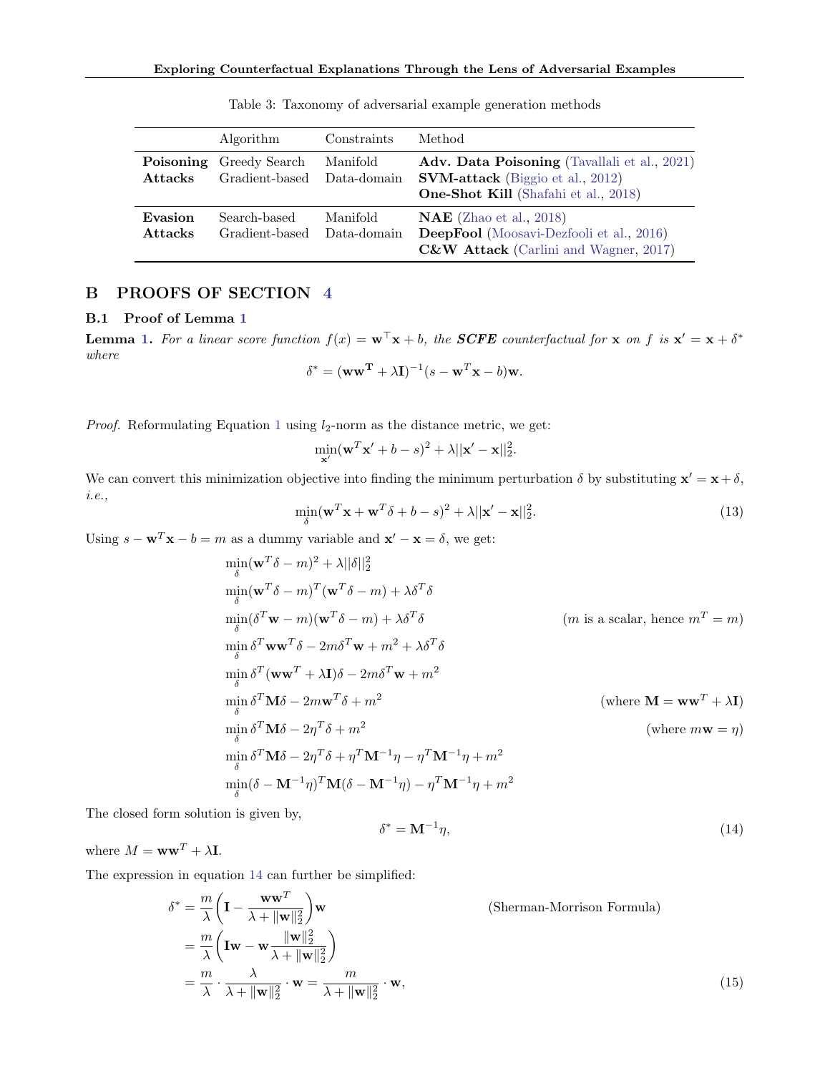<span id="page-11-2"></span>

|                             | Algorithm                       | Constraints             | Method                                                                                                                                 |
|-----------------------------|---------------------------------|-------------------------|----------------------------------------------------------------------------------------------------------------------------------------|
| Poisoning<br><b>Attacks</b> | Greedy Search<br>Gradient-based | Manifold<br>Data-domain | Adv. Data Poisoning (Tavallali et al., 2021)<br><b>SVM-attack</b> (Biggio et al., 2012)<br><b>One-Shot Kill</b> (Shafahi et al., 2018) |
| Evasion<br><b>Attacks</b>   | Search-based<br>Gradient-based  | Manifold<br>Data-domain | $NAE$ (Zhao et al., 2018)<br>DeepFool (Moosavi-Dezfooli et al., 2016)<br>C&W Attack (Carlini and Wagner, 2017)                         |

Table 3: Taxonomy of adversarial example generation methods

# <span id="page-11-1"></span><span id="page-11-0"></span>B PROOFS OF SECTION [4](#page-3-4)

### B.1 Proof of Lemma [1](#page-3-1)

**Lemma [1.](#page-3-1)** For a linear score function  $f(x) = \mathbf{w}^\top \mathbf{x} + b$ , the **SCFE** counterfactual for  $\mathbf{x}$  on f is  $\mathbf{x}' = \mathbf{x} + \delta^*$ where

$$
\delta^* = (\mathbf{w}\mathbf{w}^{\mathbf{T}} + \lambda \mathbf{I})^{-1} (s - \mathbf{w}^T \mathbf{x} - b) \mathbf{w}.
$$

*Proof.* Reformulating Equation [1](#page-2-2) using  $l_2$ -norm as the distance metric, we get:

$$
\min_{\mathbf{x}'}(\mathbf{w}^T\mathbf{x}' + b - s)^2 + \lambda ||\mathbf{x}' - \mathbf{x}||_2^2.
$$

We can convert this minimization objective into finding the minimum perturbation  $\delta$  by substituting  $\mathbf{x}' = \mathbf{x} + \delta$ , i.e.,

$$
\min_{\delta} (\mathbf{w}^T \mathbf{x} + \mathbf{w}^T \delta + b - s)^2 + \lambda ||\mathbf{x}' - \mathbf{x}||_2^2.
$$
 (13)

Using  $s - \mathbf{w}^T \mathbf{x} - b = m$  as a dummy variable and  $\mathbf{x}' - \mathbf{x} = \delta$ , we get:

$$
\min_{\delta} (\mathbf{w}^{T} \delta - m)^{2} + \lambda ||\delta||_{2}^{2}
$$
\n
$$
\min_{\delta} (\mathbf{w}^{T} \delta - m)^{T} (\mathbf{w}^{T} \delta - m) + \lambda \delta^{T} \delta
$$
\n
$$
\min_{\delta} (\delta^{T} \mathbf{w} - m)(\mathbf{w}^{T} \delta - m) + \lambda \delta^{T} \delta
$$
\n
$$
\min_{\delta} \delta^{T} \mathbf{w} \mathbf{w}^{T} \delta - 2m \delta^{T} \mathbf{w} + m^{2} + \lambda \delta^{T} \delta
$$
\n
$$
\min_{\delta} \delta^{T} (\mathbf{w} \mathbf{w}^{T} + \lambda \mathbf{I}) \delta - 2m \delta^{T} \mathbf{w} + m^{2}
$$
\n
$$
\min_{\delta} \delta^{T} \mathbf{M} \delta - 2m \mathbf{w}^{T} \delta + m^{2}
$$
\n
$$
\min_{\delta} \delta^{T} \mathbf{M} \delta - 2\eta^{T} \delta + m^{2}
$$
\n
$$
\min_{\delta} \delta^{T} \mathbf{M} \delta - 2\eta^{T} \delta + \eta^{2}
$$
\n
$$
\min_{\delta} \delta^{T} \mathbf{M} \delta - 2\eta^{T} \delta + \eta^{T} \mathbf{M}^{-1} \eta - \eta^{T} \mathbf{M}^{-1} \eta + m^{2}
$$
\n
$$
\min_{\delta} (\delta - \mathbf{M}^{-1} \eta)^{T} \mathbf{M} (\delta - \mathbf{M}^{-1} \eta) - \eta^{T} \mathbf{M}^{-1} \eta + m^{2}
$$

The closed form solution is given by,

<span id="page-11-3"></span> $\delta^* = \mathbf{M}^{-1}$  $\eta,$  (14)

where  $M = \mathbf{w}\mathbf{w}^T + \lambda \mathbf{I}$ .

The expression in equation [14](#page-11-3) can further be simplified:

$$
\delta^* = \frac{m}{\lambda} \left( \mathbf{I} - \frac{\mathbf{w}\mathbf{w}^T}{\lambda + \|\mathbf{w}\|_2^2} \right) \mathbf{w}
$$
 (Sherman-Morrison Formula)  
\n
$$
= \frac{m}{\lambda} \left( \mathbf{I}\mathbf{w} - \mathbf{w} \frac{\|\mathbf{w}\|_2^2}{\lambda + \|\mathbf{w}\|_2^2} \right)
$$
\n
$$
= \frac{m}{\lambda} \cdot \frac{\lambda}{\lambda + \|\mathbf{w}\|_2^2} \cdot \mathbf{w} = \frac{m}{\lambda + \|\mathbf{w}\|_2^2} \cdot \mathbf{w},
$$
\n(15)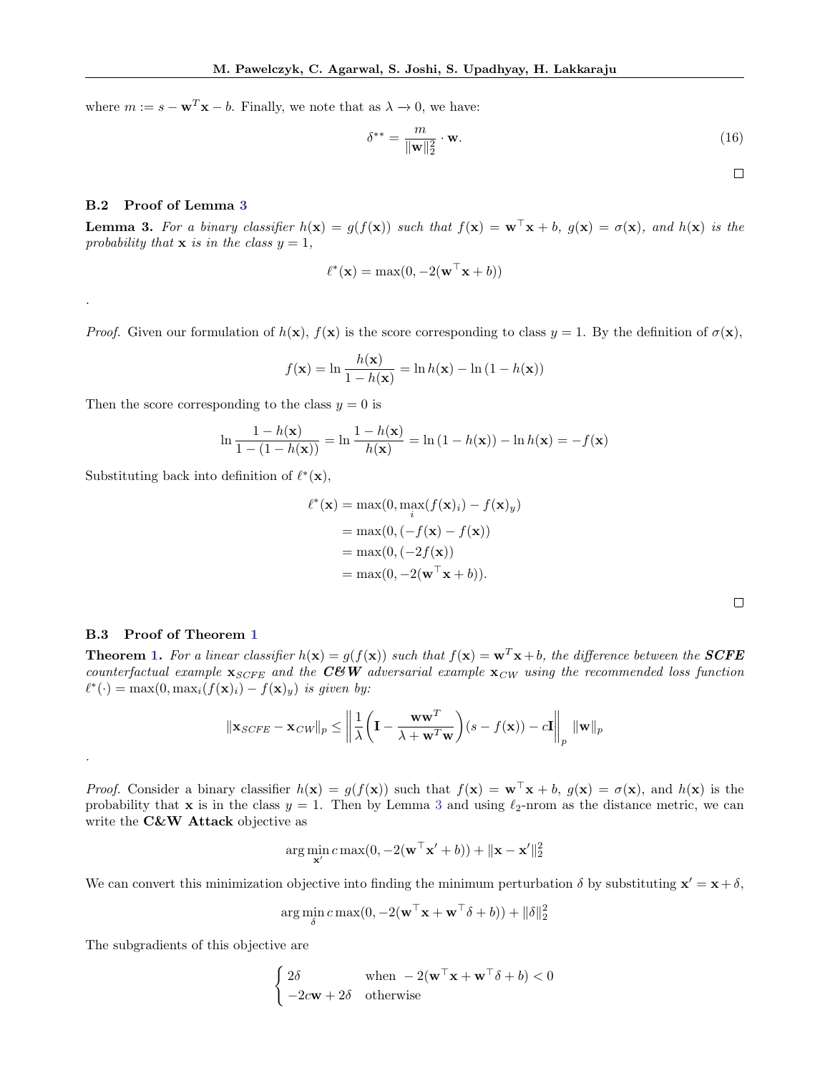where  $m := s - \mathbf{w}^T \mathbf{x} - b$ . Finally, we note that as  $\lambda \to 0$ , we have:

$$
\delta^{**} = \frac{m}{\|\mathbf{w}\|_2^2} \cdot \mathbf{w}.\tag{16}
$$

 $\Box$ 

### B.2 Proof of Lemma [3](#page-12-1)

.

.

<span id="page-12-1"></span>**Lemma 3.** For a binary classifier  $h(x) = g(f(x))$  such that  $f(x) = \mathbf{w}^\top x + b$ ,  $g(x) = \sigma(x)$ , and  $h(x)$  is the probability that  $x$  is in the class  $y = 1$ ,

$$
\ell^*(\mathbf{x}) = \max(0, -2(\mathbf{w}^\top \mathbf{x} + b))
$$

*Proof.* Given our formulation of  $h(\mathbf{x})$ ,  $f(\mathbf{x})$  is the score corresponding to class  $y = 1$ . By the definition of  $\sigma(\mathbf{x})$ ,

$$
f(\mathbf{x}) = \ln \frac{h(\mathbf{x})}{1 - h(\mathbf{x})} = \ln h(\mathbf{x}) - \ln (1 - h(\mathbf{x}))
$$

Then the score corresponding to the class  $y = 0$  is

$$
\ln \frac{1 - h(\mathbf{x})}{1 - (1 - h(\mathbf{x}))} = \ln \frac{1 - h(\mathbf{x})}{h(\mathbf{x})} = \ln (1 - h(\mathbf{x})) - \ln h(\mathbf{x}) = -f(\mathbf{x})
$$

Substituting back into definition of  $\ell^*(\mathbf{x})$ ,

$$
\ell^*(\mathbf{x}) = \max(0, \max_i(f(\mathbf{x})_i) - f(\mathbf{x})_y)
$$
  
= 
$$
\max(0, (-f(\mathbf{x}) - f(\mathbf{x}))
$$
  
= 
$$
\max(0, (-2f(\mathbf{x}))
$$
  
= 
$$
\max(0, -2(\mathbf{w}^\top \mathbf{x} + b)).
$$

#### <span id="page-12-0"></span>B.3 Proof of Theorem [1](#page-3-2)

**Theorem [1.](#page-3-2)** For a linear classifier  $h(\mathbf{x}) = g(f(\mathbf{x}))$  such that  $f(\mathbf{x}) = \mathbf{w}^T \mathbf{x} + b$ , the difference between the **SCFE** counterfactual example  $\mathbf{x}_{SCFE}$  and the CUW adversarial example  $\mathbf{x}_{CW}$  using the recommended loss function  $\ell^*(\cdot) = \max(0, \max_i (f(\mathbf{x})_i) - f(\mathbf{x})_y)$  is given by:

$$
\|\mathbf{x}_{SCFE} - \mathbf{x}_{CW}\|_p \le \left\| \frac{1}{\lambda} \left( \mathbf{I} - \frac{\mathbf{w}\mathbf{w}^T}{\lambda + \mathbf{w}^T \mathbf{w}} \right) (s - f(\mathbf{x})) - c \mathbf{I} \right\|_p \|\mathbf{w}\|_p
$$

*Proof.* Consider a binary classifier  $h(\mathbf{x}) = g(f(\mathbf{x}))$  such that  $f(\mathbf{x}) = \mathbf{w}^\top \mathbf{x} + b$ ,  $g(\mathbf{x}) = \sigma(\mathbf{x})$ , and  $h(\mathbf{x})$  is the probability that x is in the class  $y = 1$ . Then by Lemma [3](#page-12-1) and using  $\ell_2$ -nrom as the distance metric, we can write the C&W Attack objective as

$$
\arg\min_{\mathbf{x}'} c \max(0, -2(\mathbf{w}^\top \mathbf{x}' + b)) + ||\mathbf{x} - \mathbf{x}'||_2^2
$$

We can convert this minimization objective into finding the minimum perturbation  $\delta$  by substituting  $\mathbf{x}' = \mathbf{x} + \delta$ ,

$$
\arg\min_{\delta} c \max(0, -2(\mathbf{w}^\top \mathbf{x} + \mathbf{w}^\top \delta + b)) + ||\delta||_2^2
$$

The subgradients of this objective are

$$
\begin{cases} 2\delta & \text{when } -2(\mathbf{w}^\top \mathbf{x} + \mathbf{w}^\top \delta + b) < 0 \\ -2c\mathbf{w} + 2\delta & \text{otherwise} \end{cases}
$$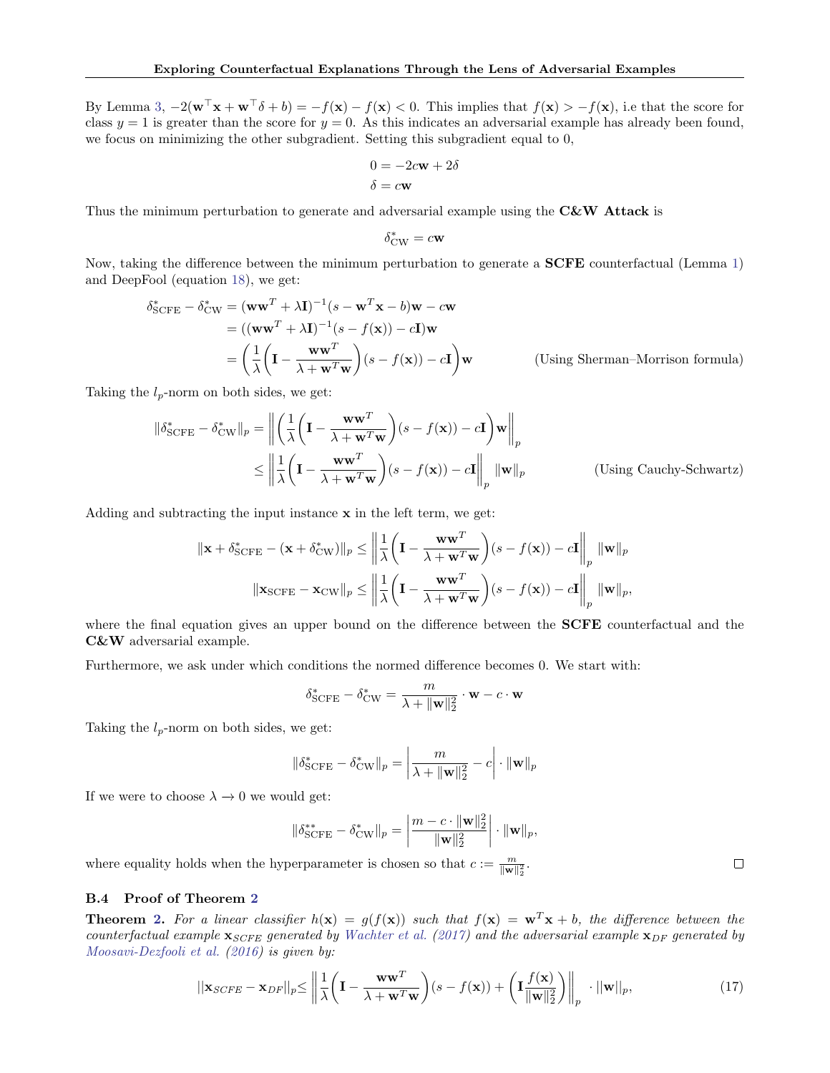By Lemma [3,](#page-12-1)  $-2(\mathbf{w}^\top \mathbf{x} + \mathbf{w}^\top \delta + b) = -f(\mathbf{x}) - f(\mathbf{x}) < 0$ . This implies that  $f(\mathbf{x}) > -f(\mathbf{x})$ , i.e that the score for class  $y = 1$  is greater than the score for  $y = 0$ . As this indicates an adversarial example has already been found, we focus on minimizing the other subgradient. Setting this subgradient equal to 0,

$$
0 = -2c\mathbf{w} + 2\delta
$$

$$
\delta = c\mathbf{w}
$$

Thus the minimum perturbation to generate and adversarial example using the  $C\&W$  Attack is

$$
\delta_{\rm CW}^* = c \mathbf{w}
$$

Now, taking the difference between the minimum perturbation to generate a SCFE counterfactual (Lemma [1\)](#page-3-1) and DeepFool (equation [18\)](#page-14-1), we get:

$$
\delta_{\text{SCFE}}^* - \delta_{\text{CW}}^* = (\mathbf{w}\mathbf{w}^T + \lambda \mathbf{I})^{-1} (s - \mathbf{w}^T \mathbf{x} - b) \mathbf{w} - c \mathbf{w}
$$
  
\n
$$
= ((\mathbf{w}\mathbf{w}^T + \lambda \mathbf{I})^{-1} (s - f(\mathbf{x})) - c \mathbf{I}) \mathbf{w}
$$
  
\n
$$
= \left(\frac{1}{\lambda} \left(\mathbf{I} - \frac{\mathbf{w}\mathbf{w}^T}{\lambda + \mathbf{w}^T \mathbf{w}}\right) (s - f(\mathbf{x})) - c \mathbf{I}\right) \mathbf{w}
$$
 (Using Sherman-Morrison formula)

Taking the  $l_p$ -norm on both sides, we get:

$$
\|\delta_{\text{SCFE}}^* - \delta_{\text{CW}}^*\|_p = \left\| \left( \frac{1}{\lambda} \left( \mathbf{I} - \frac{\mathbf{w}\mathbf{w}^T}{\lambda + \mathbf{w}^T \mathbf{w}} \right) (s - f(\mathbf{x})) - c\mathbf{I} \right) \mathbf{w} \right\|_p
$$
  
\n
$$
\leq \left\| \frac{1}{\lambda} \left( \mathbf{I} - \frac{\mathbf{w}\mathbf{w}^T}{\lambda + \mathbf{w}^T \mathbf{w}} \right) (s - f(\mathbf{x})) - c\mathbf{I} \right\|_p \|\mathbf{w}\|_p \qquad \text{(Using Cauchy-Schwartz)}
$$

Adding and subtracting the input instance  $x$  in the left term, we get:

$$
\|\mathbf{x} + \delta_{\text{SCFE}}^* - (\mathbf{x} + \delta_{\text{CW}}^*)\|_p \le \left\|\frac{1}{\lambda} \left(\mathbf{I} - \frac{\mathbf{w}\mathbf{w}^T}{\lambda + \mathbf{w}^T\mathbf{w}}\right)(s - f(\mathbf{x})) - c\mathbf{I}\right\|_p \|\mathbf{w}\|_p
$$

$$
\|\mathbf{x}_{\text{SCFE}} - \mathbf{x}_{\text{CW}}\|_p \le \left\|\frac{1}{\lambda} \left(\mathbf{I} - \frac{\mathbf{w}\mathbf{w}^T}{\lambda + \mathbf{w}^T\mathbf{w}}\right)(s - f(\mathbf{x})) - c\mathbf{I}\right\|_p \|\mathbf{w}\|_p,
$$

where the final equation gives an upper bound on the difference between the **SCFE** counterfactual and the C&W adversarial example.

Furthermore, we ask under which conditions the normed difference becomes 0. We start with:

$$
\delta_{\rm SCFE}^* - \delta_{\rm CW}^* = \frac{m}{\lambda + \|\mathbf{w}\|_2^2} \cdot \mathbf{w} - c \cdot \mathbf{w}
$$

Taking the  $l_p$ -norm on both sides, we get:

$$
\|\delta_{\text{SCFE}}^* - \delta_{\text{CW}}^*\|_p = \left|\frac{m}{\lambda + \|\mathbf{w}\|_2^2} - c\right| \cdot \|\mathbf{w}\|_p
$$

If we were to choose  $\lambda \to 0$  we would get:

$$
\|\delta_{\rm SCFE}^{**} - \delta_{\rm CW}^*\|_p = \left|\frac{m - c \cdot \|\mathbf{w}\|_2^2}{\|\mathbf{w}\|_2^2}\right| \cdot \|\mathbf{w}\|_p,
$$

where equality holds when the hyperparameter is chosen so that  $c := \frac{m}{\|\mathbf{w}\|_2^2}$ .

### <span id="page-13-0"></span>B.4 Proof of Theorem [2](#page-4-3)

**Theorem [2.](#page-4-3)** For a linear classifier  $h(x) = g(f(x))$  such that  $f(x) = \mathbf{w}^T\mathbf{x} + b$ , the difference between the counterfactual example  $\mathbf{x}_{SCFE}$  generated by [Wachter et al.](#page-9-4) [\(2017\)](#page-9-4) and the adversarial example  $\mathbf{x}_{DF}$  generated by [Moosavi-Dezfooli et al.](#page-9-10) [\(2016\)](#page-9-10) is given by:

$$
||\mathbf{x}_{SCFE} - \mathbf{x}_{DF}||_p \le \left\| \frac{1}{\lambda} \left( \mathbf{I} - \frac{\mathbf{w}\mathbf{w}^T}{\lambda + \mathbf{w}^T \mathbf{w}} \right) (s - f(\mathbf{x})) + \left( \mathbf{I} \frac{f(\mathbf{x})}{\|\mathbf{w}\|_2^2} \right) \right\|_p \cdot ||\mathbf{w}||_p, \tag{17}
$$

 $\Box$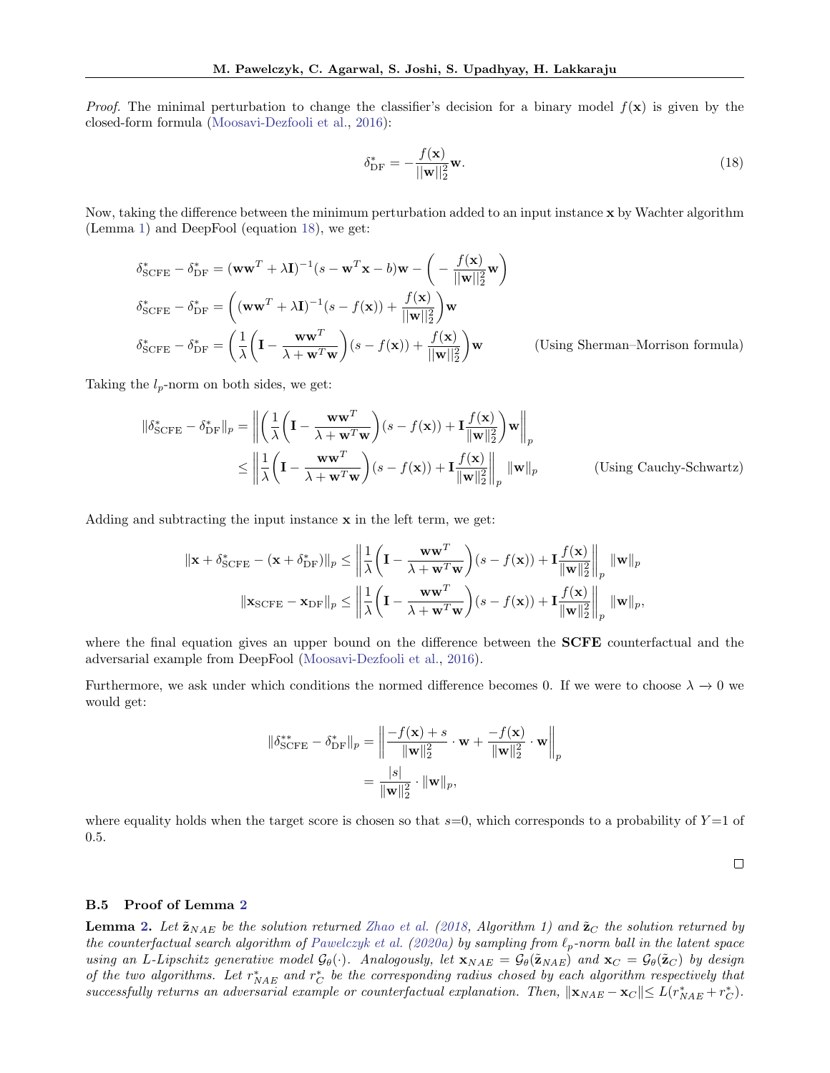*Proof.* The minimal perturbation to change the classifier's decision for a binary model  $f(x)$  is given by the closed-form formula [\(Moosavi-Dezfooli et al.,](#page-9-10) [2016\)](#page-9-10):

<span id="page-14-1"></span>
$$
\delta_{\rm DF}^* = -\frac{f(\mathbf{x})}{||\mathbf{w}||_2^2} \mathbf{w}.\tag{18}
$$

Now, taking the difference between the minimum perturbation added to an input instance x by Wachter algorithm (Lemma [1\)](#page-3-1) and DeepFool (equation [18\)](#page-14-1), we get:

$$
\delta_{\text{SCFE}}^* - \delta_{\text{DF}}^* = (\mathbf{w}\mathbf{w}^T + \lambda \mathbf{I})^{-1}(s - \mathbf{w}^T \mathbf{x} - b)\mathbf{w} - \left(-\frac{f(\mathbf{x})}{||\mathbf{w}||_2^2}\mathbf{w}\right)
$$
  
\n
$$
\delta_{\text{SCFE}}^* - \delta_{\text{DF}}^* = \left((\mathbf{w}\mathbf{w}^T + \lambda \mathbf{I})^{-1}(s - f(\mathbf{x})) + \frac{f(\mathbf{x})}{||\mathbf{w}||_2^2}\right)\mathbf{w}
$$
  
\n
$$
\delta_{\text{SCFE}}^* - \delta_{\text{DF}}^* = \left(\frac{1}{\lambda}\left(\mathbf{I} - \frac{\mathbf{w}\mathbf{w}^T}{\lambda + \mathbf{w}^T \mathbf{w}}\right)(s - f(\mathbf{x})) + \frac{f(\mathbf{x})}{||\mathbf{w}||_2^2}\right)\mathbf{w}
$$
 (Using Sherman-Morrison formula)

Taking the  $l_p$ -norm on both sides, we get:

$$
\|\delta_{\text{SCFE}}^* - \delta_{\text{DF}}^*\|_p = \left\| \left( \frac{1}{\lambda} \left( \mathbf{I} - \frac{\mathbf{w}\mathbf{w}^T}{\lambda + \mathbf{w}^T \mathbf{w}} \right) (s - f(\mathbf{x})) + \mathbf{I} \frac{f(\mathbf{x})}{\|\mathbf{w}\|_2^2} \right) \mathbf{w} \right\|_p
$$
  
\n
$$
\leq \left\| \frac{1}{\lambda} \left( \mathbf{I} - \frac{\mathbf{w}\mathbf{w}^T}{\lambda + \mathbf{w}^T \mathbf{w}} \right) (s - f(\mathbf{x})) + \mathbf{I} \frac{f(\mathbf{x})}{\|\mathbf{w}\|_2^2} \right\|_p \|\mathbf{w}\|_p
$$
 (Using Cauchy-Schwartz)

Adding and subtracting the input instance x in the left term, we get:

$$
\|\mathbf{x} + \delta_{\text{SCFE}}^* - (\mathbf{x} + \delta_{\text{DF}}^*)\|_p \le \left\|\frac{1}{\lambda} \left(\mathbf{I} - \frac{\mathbf{w}\mathbf{w}^T}{\lambda + \mathbf{w}^T\mathbf{w}}\right)(s - f(\mathbf{x})) + \mathbf{I} \frac{f(\mathbf{x})}{\|\mathbf{w}\|_2^2} \right\|_p \|\mathbf{w}\|_p
$$
  

$$
\|\mathbf{x}_{\text{SCFE}} - \mathbf{x}_{\text{DF}}\|_p \le \left\|\frac{1}{\lambda} \left(\mathbf{I} - \frac{\mathbf{w}\mathbf{w}^T}{\lambda + \mathbf{w}^T\mathbf{w}}\right)(s - f(\mathbf{x})) + \mathbf{I} \frac{f(\mathbf{x})}{\|\mathbf{w}\|_2^2} \right\|_p \|\mathbf{w}\|_p,
$$

where the final equation gives an upper bound on the difference between the **SCFE** counterfactual and the adversarial example from DeepFool [\(Moosavi-Dezfooli et al.,](#page-9-10) [2016\)](#page-9-10).

Furthermore, we ask under which conditions the normed difference becomes 0. If we were to choose  $\lambda \to 0$  we would get:

$$
\|\delta_{\text{SCFE}}^{**} - \delta_{\text{DF}}^*\|_p = \left\|\frac{-f(\mathbf{x}) + s}{\|\mathbf{w}\|_2^2} \cdot \mathbf{w} + \frac{-f(\mathbf{x})}{\|\mathbf{w}\|_2^2} \cdot \mathbf{w}\right\|_p
$$

$$
= \frac{|s|}{\|\mathbf{w}\|_2^2} \cdot \|\mathbf{w}\|_p,
$$

where equality holds when the target score is chosen so that  $s=0$ , which corresponds to a probability of  $Y=1$  of 0.5.

 $\Box$ 

### <span id="page-14-0"></span>B.5 Proof of Lemma [2](#page-4-4)

**Lemma [2.](#page-4-4)** Let  $\tilde{\mathbf{z}}_{NAE}$  be the solution returned [Zhao et al.](#page-9-11) [\(2018,](#page-9-11) Algorithm 1) and  $\tilde{\mathbf{z}}_C$  the solution returned by the counterfactual search algorithm of [Pawelczyk et al.](#page-9-7) [\(2020a\)](#page-9-7) by sampling from  $\ell_p$ -norm ball in the latent space using an L-Lipschitz generative model  $\mathcal{G}_{\theta}(\cdot)$ . Analogously, let  $\mathbf{x}_{NAE} = \mathcal{G}_{\theta}(\tilde{\mathbf{z}}_{NAE})$  and  $\mathbf{x}_C = \mathcal{G}_{\theta}(\tilde{\mathbf{z}}_C)$  by design of the two algorithms. Let  $r^*_{NAE}$  and  $r^*_{C}$  be the corresponding radius chosed by each algorithm respectively that successfully returns an adversarial example or counterfactual explanation. Then,  $\|\mathbf{x}_{NAE} - \mathbf{x}_{C}\| \leq L(r_{NAE}^* + r_C^*)$ .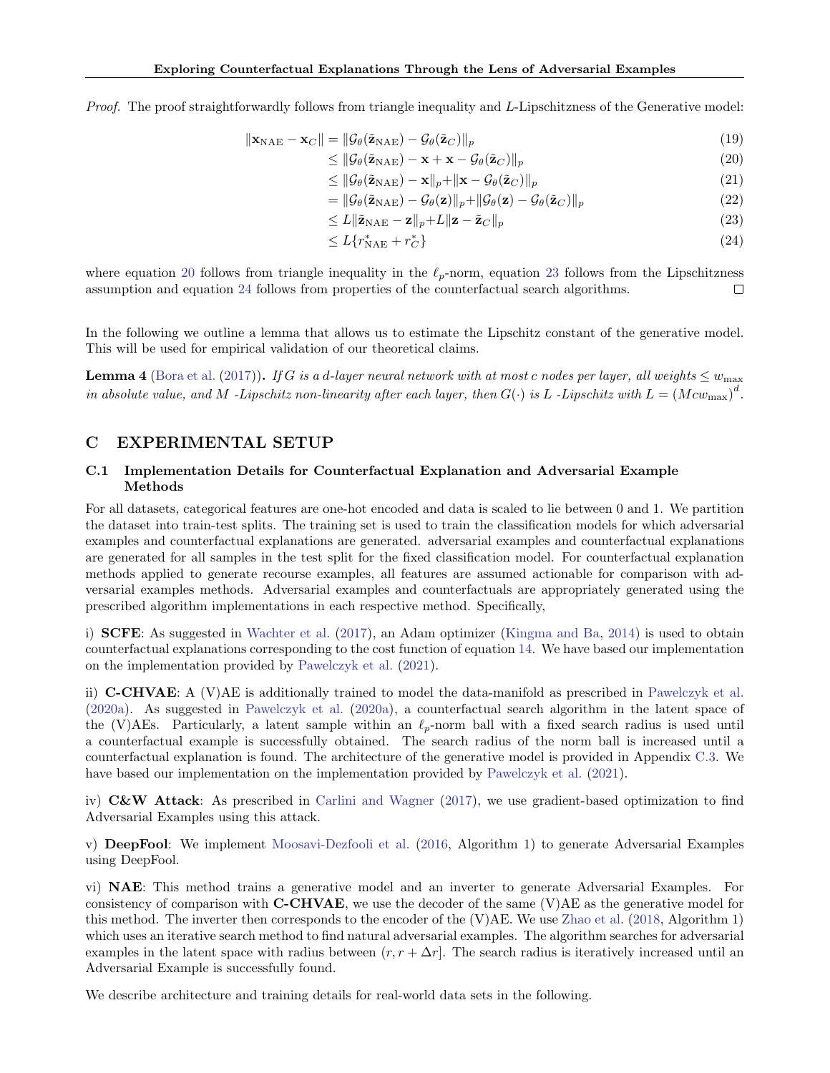Proof. The proof straightforwardly follows from triangle inequality and L-Lipschitzness of the Generative model:

$$
\|\mathbf{x}_{\text{NAE}} - \mathbf{x}_{C}\| = \|\mathcal{G}_{\theta}(\tilde{\mathbf{z}}_{\text{NAE}}) - \mathcal{G}_{\theta}(\tilde{\mathbf{z}}_{C})\|_{p} \tag{19}
$$

$$
\leq \|\mathcal{G}_{\theta}(\tilde{\mathbf{z}}_{\text{NAE}}) - \mathbf{x} + \mathbf{x} - \mathcal{G}_{\theta}(\tilde{\mathbf{z}}_{C})\|_{p} \tag{20}
$$

$$
\leq \|\mathcal{G}_{\theta}(\tilde{\mathbf{z}}_{\text{NAE}}) - \mathbf{x}\|_{p} + \|\mathbf{x} - \mathcal{G}_{\theta}(\tilde{\mathbf{z}}_{C})\|_{p} \tag{21}
$$

<span id="page-15-2"></span><span id="page-15-1"></span>
$$
= \|\mathcal{G}_{\theta}(\tilde{\mathbf{z}}_{\text{NAE}}) - \mathcal{G}_{\theta}(\mathbf{z})\|_{p} + \|\mathcal{G}_{\theta}(\mathbf{z}) - \mathcal{G}_{\theta}(\tilde{\mathbf{z}}_{C})\|_{p} \tag{22}
$$

<span id="page-15-3"></span>
$$
\leq L \|\tilde{\mathbf{z}}_{\text{NAE}} - \mathbf{z}\|_{p} + L \|\mathbf{z} - \tilde{\mathbf{z}}_{C}\|_{p} \tag{23}
$$

$$
\leq L\{r_{\text{NAE}}^* + r_C^*\}\tag{24}
$$

where equation [20](#page-15-1) follows from triangle inequality in the  $\ell_p$ -norm, equation [23](#page-15-2) follows from the Lipschitzness assumption and equation [24](#page-15-3) follows from properties of the counterfactual search algorithms. П

In the following we outline a lemma that allows us to estimate the Lipschitz constant of the generative model. This will be used for empirical validation of our theoretical claims.

**Lemma 4** [\(Bora et al.](#page-8-14) [\(2017\)](#page-8-14)). If G is a d-layer neural network with at most c nodes per layer, all weights  $\leq w_{\text{max}}$ in absolute value, and M -Lipschitz non-linearity after each layer, then  $G(\cdot)$  is L -Lipschitz with  $L = (M c w_{\rm max})^d$ .

# <span id="page-15-0"></span>C EXPERIMENTAL SETUP

### C.1 Implementation Details for Counterfactual Explanation and Adversarial Example Methods

For all datasets, categorical features are one-hot encoded and data is scaled to lie between 0 and 1. We partition the dataset into train-test splits. The training set is used to train the classification models for which adversarial examples and counterfactual explanations are generated. adversarial examples and counterfactual explanations are generated for all samples in the test split for the fixed classification model. For counterfactual explanation methods applied to generate recourse examples, all features are assumed actionable for comparison with adversarial examples methods. Adversarial examples and counterfactuals are appropriately generated using the prescribed algorithm implementations in each respective method. Specifically,

i) SCFE: As suggested in [Wachter et al.](#page-9-4) [\(2017\)](#page-9-4), an Adam optimizer [\(Kingma and Ba,](#page-9-23) [2014\)](#page-9-23) is used to obtain counterfactual explanations corresponding to the cost function of equation [14.](#page-11-3) We have based our implementation on the implementation provided by [Pawelczyk et al.](#page-9-24) [\(2021\)](#page-9-24).

ii)  $C-CHVAE: A (V)AE$  is additionally trained to model the data-manifold as prescribed in [Pawelczyk et al.](#page-9-7) [\(2020a\)](#page-9-7). As suggested in [Pawelczyk et al.](#page-9-7) [\(2020a\)](#page-9-7), a counterfactual search algorithm in the latent space of the (V)AEs. Particularly, a latent sample within an  $\ell_p$ -norm ball with a fixed search radius is used until a counterfactual example is successfully obtained. The search radius of the norm ball is increased until a counterfactual explanation is found. The architecture of the generative model is provided in Appendix [C.3.](#page-16-0) We have based our implementation on the implementation provided by [Pawelczyk et al.](#page-9-24) [\(2021\)](#page-9-24).

iv)  $C\&W$  Attack: As prescribed in [Carlini and Wagner](#page-8-4) [\(2017\)](#page-8-4), we use gradient-based optimization to find Adversarial Examples using this attack.

v) DeepFool: We implement [Moosavi-Dezfooli et al.](#page-9-10) [\(2016,](#page-9-10) Algorithm 1) to generate Adversarial Examples using DeepFool.

vi) NAE: This method trains a generative model and an inverter to generate Adversarial Examples. For consistency of comparison with **C-CHVAE**, we use the decoder of the same  $(V)AE$  as the generative model for this method. The inverter then corresponds to the encoder of the (V)AE. We use [Zhao et al.](#page-9-11) [\(2018,](#page-9-11) Algorithm 1) which uses an iterative search method to find natural adversarial examples. The algorithm searches for adversarial examples in the latent space with radius between  $(r, r + \Delta r)$ . The search radius is iteratively increased until an Adversarial Example is successfully found.

We describe architecture and training details for real-world data sets in the following.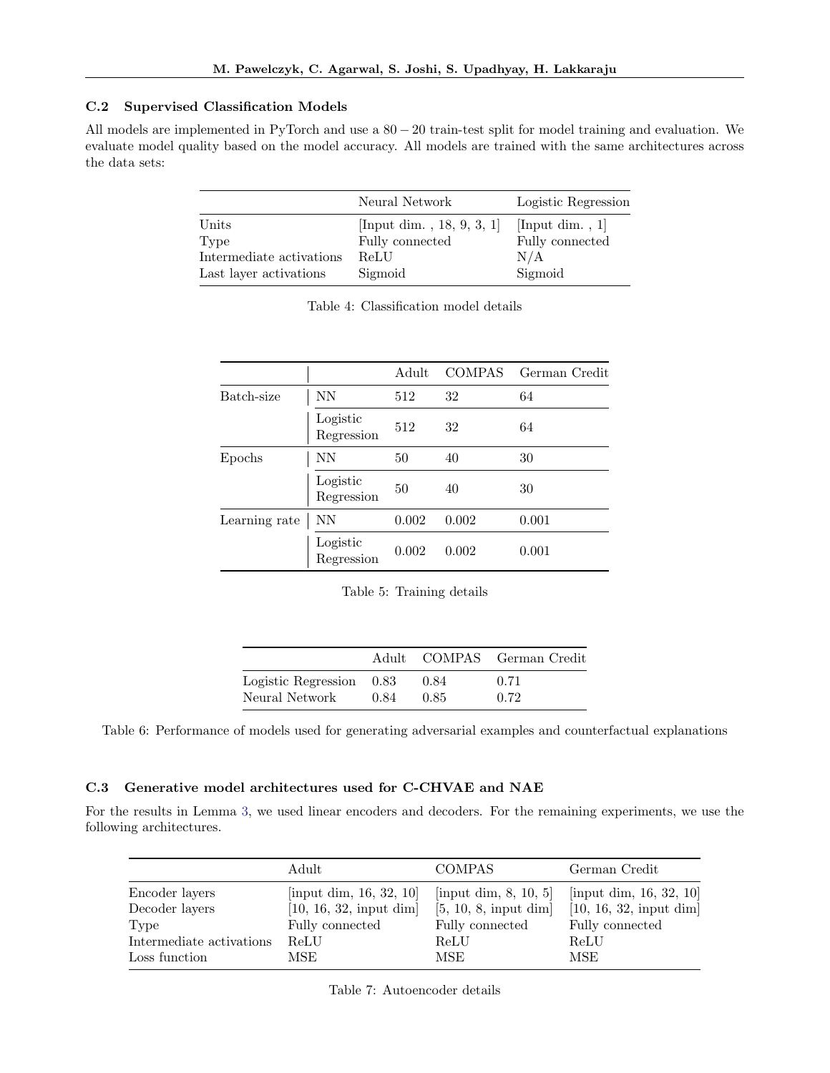# C.2 Supervised Classification Models

All models are implemented in PyTorch and use a 80 − 20 train-test split for model training and evaluation. We evaluate model quality based on the model accuracy. All models are trained with the same architectures across the data sets:

|                          | Neural Network            | Logistic Regression |
|--------------------------|---------------------------|---------------------|
| Units                    | [Input dim., 18, 9, 3, 1] | [Input dim., $1$ ]  |
| Type                     | Fully connected           | Fully connected     |
| Intermediate activations | ReLU                      | N/A                 |
| Last layer activations   | Sigmoid                   | Sigmoid             |

|               |                        | Adult | <b>COMPAS</b> | German Credit |
|---------------|------------------------|-------|---------------|---------------|
| Batch-size    | NN                     | 512   | 32            | 64            |
|               | Logistic<br>Regression | 512   | 32            | 64            |
| Epochs        | NN                     | 50    | 40            | 30            |
|               | Logistic<br>Regression | 50    | 40            | 30            |
| Learning rate | NΝ                     | 0.002 | 0.002         | 0.001         |
|               | Logistic<br>Regression | 0.002 | 0.002         | 0.001         |

Table 4: Classification model details

| Table 5: Training details |  |  |  |  |
|---------------------------|--|--|--|--|
|---------------------------|--|--|--|--|

|                          |      |      | Adult COMPAS German Credit |
|--------------------------|------|------|----------------------------|
| Logistic Regression 0.83 |      | 0.84 | 0.71                       |
| Neural Network           | 0.84 | 0.85 | 0.72                       |

Table 6: Performance of models used for generating adversarial examples and counterfactual explanations

### <span id="page-16-0"></span>C.3 Generative model architectures used for C-CHVAE and NAE

For the results in Lemma [3,](#page-12-1) we used linear encoders and decoders. For the remaining experiments, we use the following architectures.

|                          | Adult                   | <b>COMPAS</b>               | German Credit           |
|--------------------------|-------------------------|-----------------------------|-------------------------|
| Encoder layers           | [input dim, 16, 32, 10] | $[$ input dim, 8, 10, 5 $]$ | [input dim, 16, 32, 10] |
| Decoder layers           | [10, 16, 32, input dim] | [5, 10, 8, input dim]       | [10, 16, 32, input dim] |
| Type                     | Fully connected         | Fully connected             | Fully connected         |
| Intermediate activations | ReLU                    | ReLU                        | ReLU                    |
| Loss function            | MSE                     | MSE                         | MSE                     |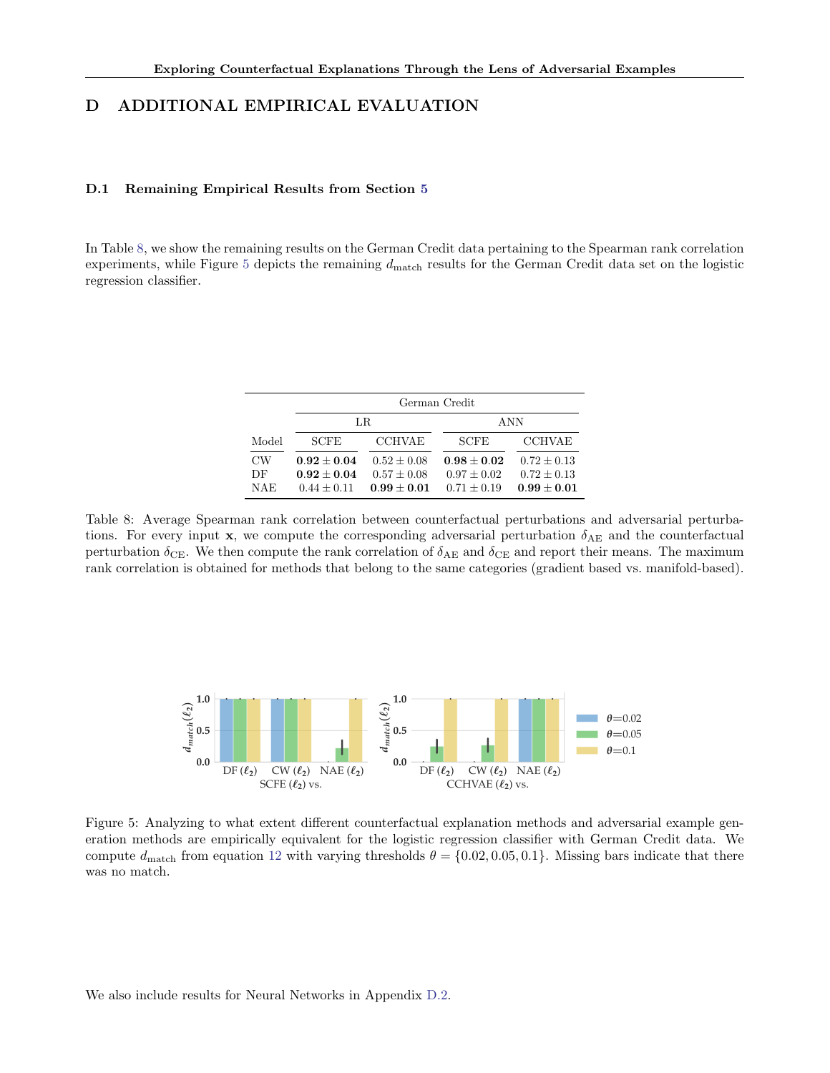# <span id="page-17-0"></span>D ADDITIONAL EMPIRICAL EVALUATION

### D.1 Remaining Empirical Results from Section [5](#page-5-0)

In Table [8,](#page-17-1) we show the remaining results on the German Credit data pertaining to the Spearman rank correlation experiments, while Figure [5](#page-17-2) depicts the remaining  $d_{\text{match}}$  results for the German Credit data set on the logistic regression classifier.

|           | German Credit                    |                                |                                |                                  |  |  |  |
|-----------|----------------------------------|--------------------------------|--------------------------------|----------------------------------|--|--|--|
|           |                                  | LR.                            | ANN                            |                                  |  |  |  |
| Model     | <b>SCFE</b>                      | <b>CCHVAE</b>                  | <b>SCFE</b>                    | <b>CCHVAE</b>                    |  |  |  |
| <b>CW</b> | $0.92 + 0.04$                    | $0.52 + 0.08$                  | $0.98 + 0.02$                  | $0.72 \pm 0.13$                  |  |  |  |
| DF<br>NAE | $0.92 + 0.04$<br>$0.44 \pm 0.11$ | $0.57 + 0.08$<br>$0.99 + 0.01$ | $0.97 + 0.02$<br>$0.71 + 0.19$ | $0.72 \pm 0.13$<br>$0.99 + 0.01$ |  |  |  |
|           |                                  |                                |                                |                                  |  |  |  |

<span id="page-17-1"></span>Table 8: Average Spearman rank correlation between counterfactual perturbations and adversarial perturbations. For every input x, we compute the corresponding adversarial perturbation  $\delta_{AE}$  and the counterfactual perturbation  $\delta_{\text{CE}}$ . We then compute the rank correlation of  $\delta_{\text{AE}}$  and  $\delta_{\text{CE}}$  and report their means. The maximum rank correlation is obtained for methods that belong to the same categories (gradient based vs. manifold-based).

<span id="page-17-2"></span>

Figure 5: Analyzing to what extent different counterfactual explanation methods and adversarial example generation methods are empirically equivalent for the logistic regression classifier with German Credit data. We compute  $d_{\text{match}}$  from equation [12](#page-7-0) with varying thresholds  $\theta = \{0.02, 0.05, 0.1\}$ . Missing bars indicate that there was no match.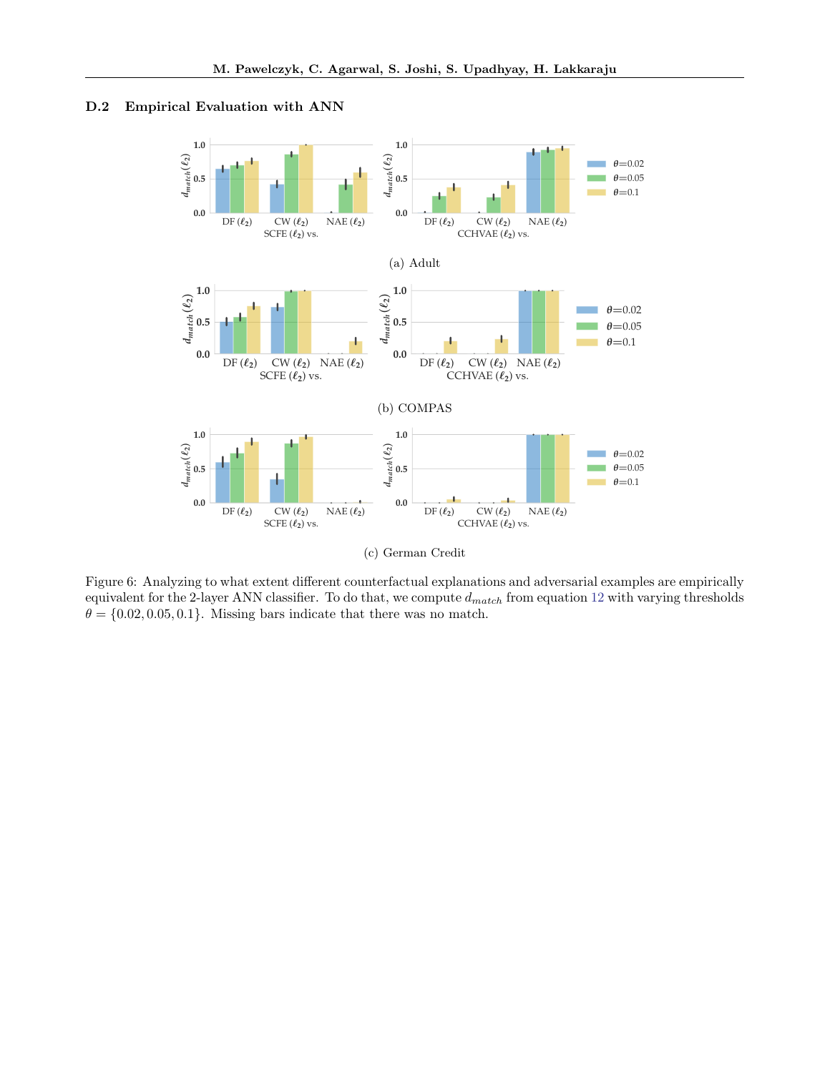<span id="page-18-0"></span>



(c) German Credit

Figure 6: Analyzing to what extent different counterfactual explanations and adversarial examples are empirically equivalent for the 2-layer ANN classifier. To do that, we compute  $d_{match}$  from equation [12](#page-7-0) with varying thresholds  $\theta = \{0.02, 0.05, 0.1\}$ . Missing bars indicate that there was no match.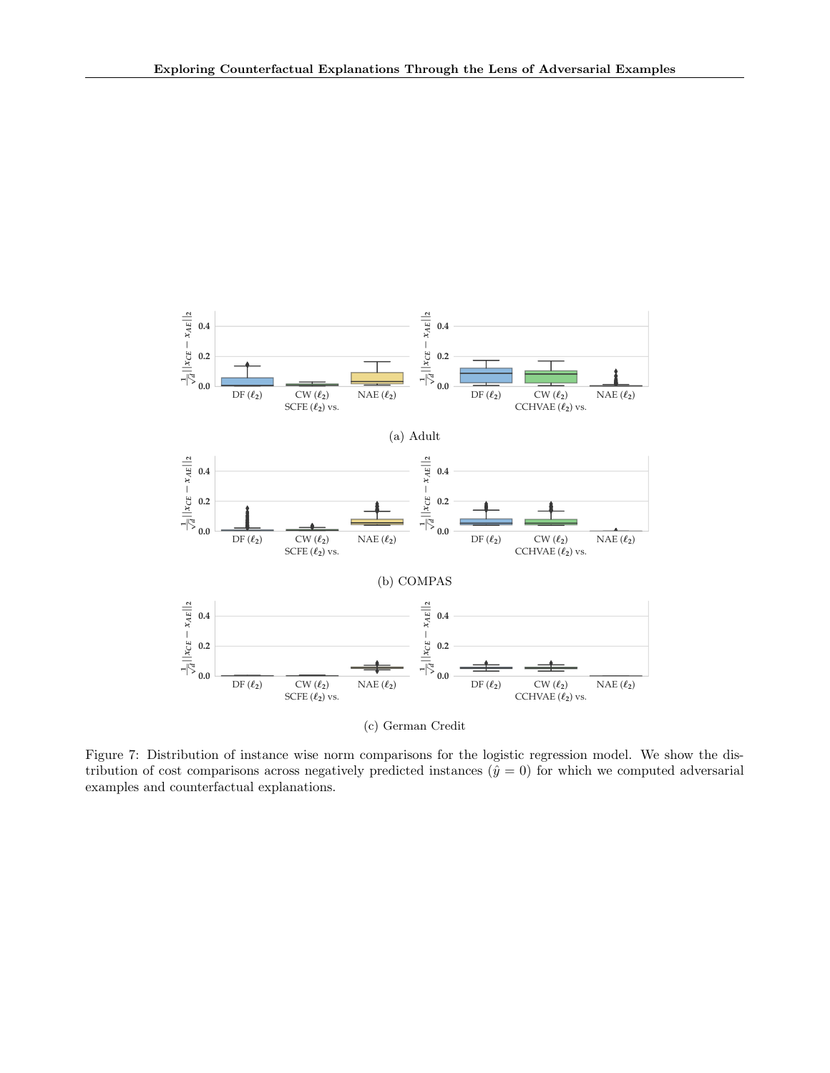

(c) German Credit

Figure 7: Distribution of instance wise norm comparisons for the logistic regression model. We show the distribution of cost comparisons across negatively predicted instances  $(\hat{y} = 0)$  for which we computed adversarial examples and counterfactual explanations.